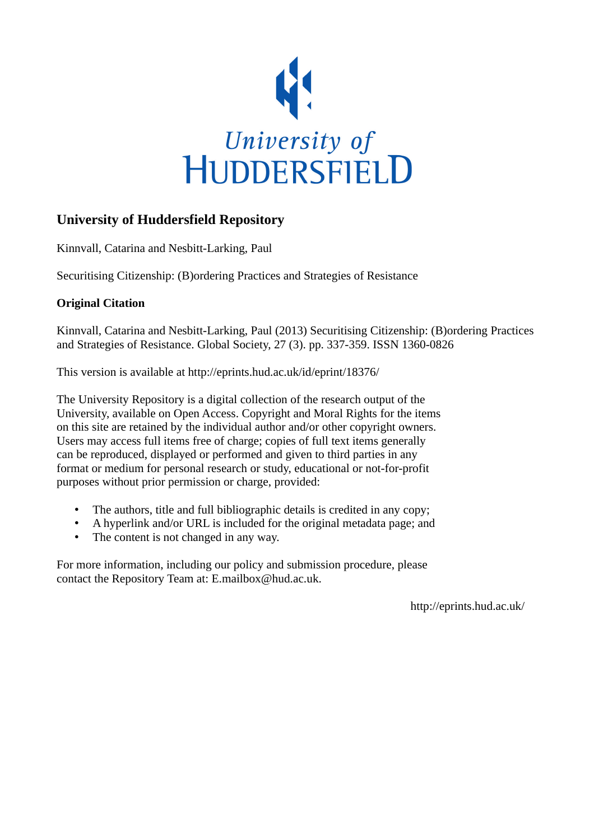

## **University of Huddersfield Repository**

Kinnvall, Catarina and Nesbitt-Larking, Paul

Securitising Citizenship: (B)ordering Practices and Strategies of Resistance

## **Original Citation**

Kinnvall, Catarina and Nesbitt-Larking, Paul (2013) Securitising Citizenship: (B)ordering Practices and Strategies of Resistance. Global Society, 27 (3). pp. 337-359. ISSN 1360-0826

This version is available at http://eprints.hud.ac.uk/id/eprint/18376/

The University Repository is a digital collection of the research output of the University, available on Open Access. Copyright and Moral Rights for the items on this site are retained by the individual author and/or other copyright owners. Users may access full items free of charge; copies of full text items generally can be reproduced, displayed or performed and given to third parties in any format or medium for personal research or study, educational or not-for-profit purposes without prior permission or charge, provided:

- The authors, title and full bibliographic details is credited in any copy;
- A hyperlink and/or URL is included for the original metadata page; and
- The content is not changed in any way.

For more information, including our policy and submission procedure, please contact the Repository Team at: E.mailbox@hud.ac.uk.

http://eprints.hud.ac.uk/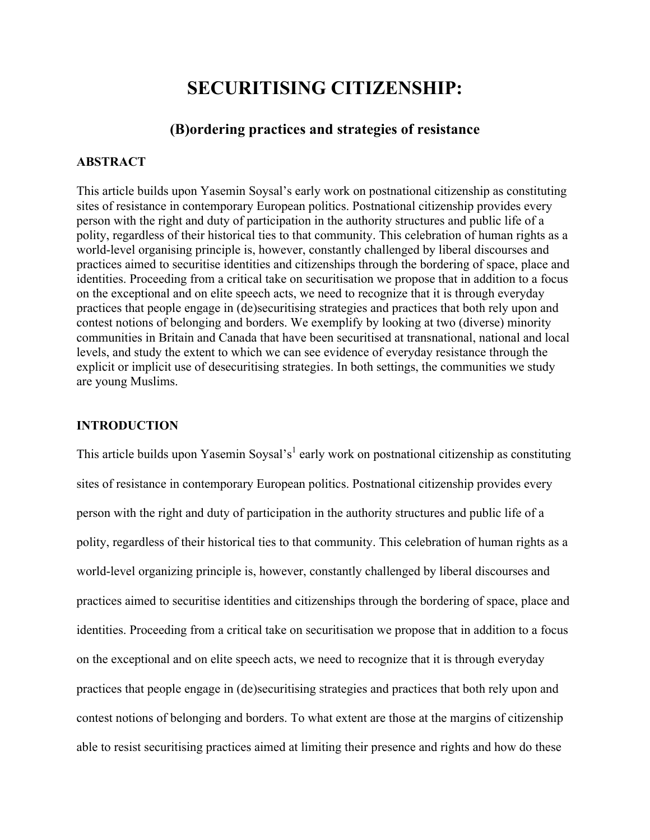# **SECURITISING CITIZENSHIP:**

### **(B)ordering practices and strategies of resistance**

#### **ABSTRACT**

This article builds upon Yasemin Soysal's early work on postnational citizenship as constituting sites of resistance in contemporary European politics. Postnational citizenship provides every person with the right and duty of participation in the authority structures and public life of a polity, regardless of their historical ties to that community. This celebration of human rights as a world-level organising principle is, however, constantly challenged by liberal discourses and practices aimed to securitise identities and citizenships through the bordering of space, place and identities. Proceeding from a critical take on securitisation we propose that in addition to a focus on the exceptional and on elite speech acts, we need to recognize that it is through everyday practices that people engage in (de)securitising strategies and practices that both rely upon and contest notions of belonging and borders. We exemplify by looking at two (diverse) minority communities in Britain and Canada that have been securitised at transnational, national and local levels, and study the extent to which we can see evidence of everyday resistance through the explicit or implicit use of desecuritising strategies. In both settings, the communities we study are young Muslims.

#### **INTRODUCTION**

This article builds upon Yasemin Soysal's<sup>1</sup> early work on postnational citizenship as constituting sites of resistance in contemporary European politics. Postnational citizenship provides every person with the right and duty of participation in the authority structures and public life of a polity, regardless of their historical ties to that community. This celebration of human rights as a world-level organizing principle is, however, constantly challenged by liberal discourses and practices aimed to securitise identities and citizenships through the bordering of space, place and identities. Proceeding from a critical take on securitisation we propose that in addition to a focus on the exceptional and on elite speech acts, we need to recognize that it is through everyday practices that people engage in (de)securitising strategies and practices that both rely upon and contest notions of belonging and borders. To what extent are those at the margins of citizenship able to resist securitising practices aimed at limiting their presence and rights and how do these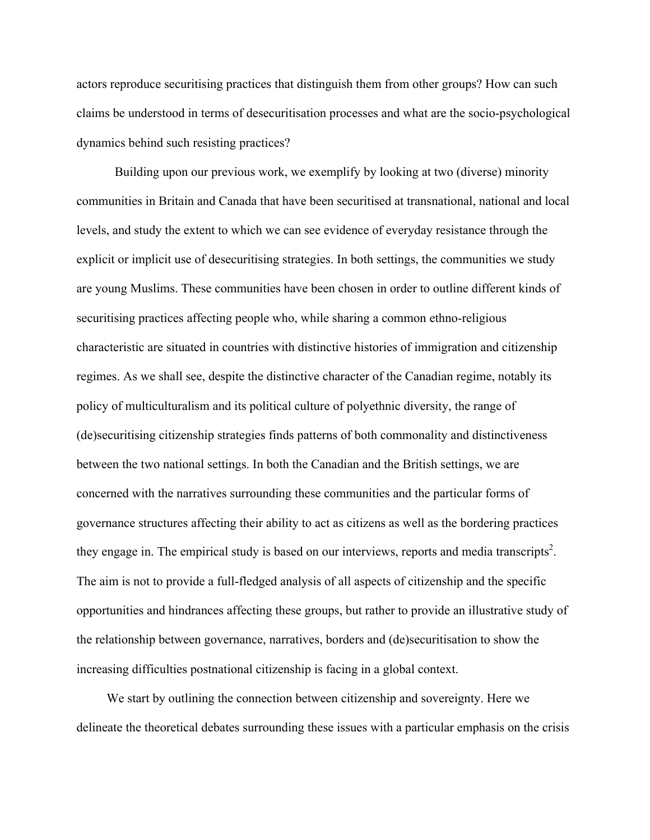actors reproduce securitising practices that distinguish them from other groups? How can such claims be understood in terms of desecuritisation processes and what are the socio-psychological dynamics behind such resisting practices?

Building upon our previous work, we exemplify by looking at two (diverse) minority communities in Britain and Canada that have been securitised at transnational, national and local levels, and study the extent to which we can see evidence of everyday resistance through the explicit or implicit use of desecuritising strategies. In both settings, the communities we study are young Muslims. These communities have been chosen in order to outline different kinds of securitising practices affecting people who, while sharing a common ethno-religious characteristic are situated in countries with distinctive histories of immigration and citizenship regimes. As we shall see, despite the distinctive character of the Canadian regime, notably its policy of multiculturalism and its political culture of polyethnic diversity, the range of (de)securitising citizenship strategies finds patterns of both commonality and distinctiveness between the two national settings. In both the Canadian and the British settings, we are concerned with the narratives surrounding these communities and the particular forms of governance structures affecting their ability to act as citizens as well as the bordering practices they engage in. The empirical study is based on our interviews, reports and media transcripts<sup>2</sup>. The aim is not to provide a full-fledged analysis of all aspects of citizenship and the specific opportunities and hindrances affecting these groups, but rather to provide an illustrative study of the relationship between governance, narratives, borders and (de)securitisation to show the increasing difficulties postnational citizenship is facing in a global context.

We start by outlining the connection between citizenship and sovereignty. Here we delineate the theoretical debates surrounding these issues with a particular emphasis on the crisis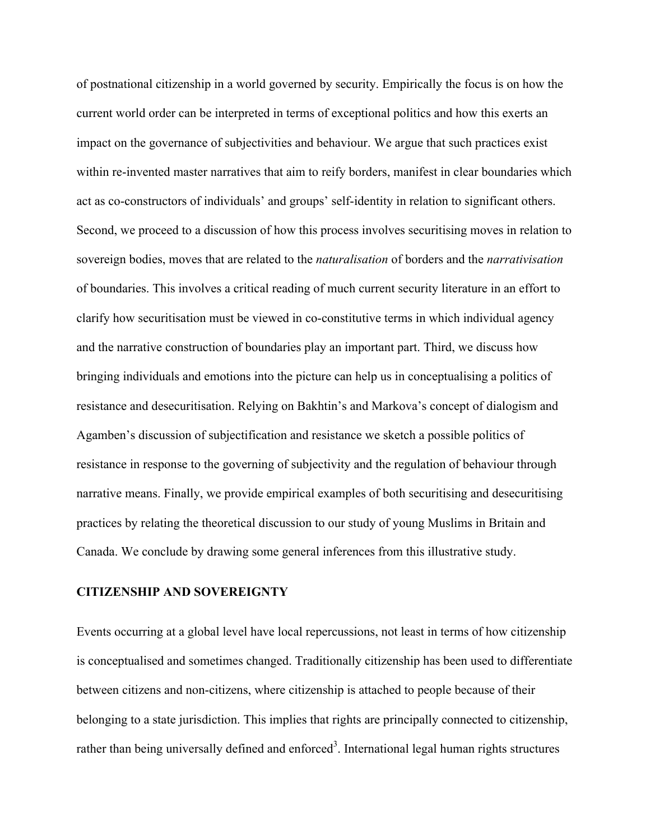of postnational citizenship in a world governed by security. Empirically the focus is on how the current world order can be interpreted in terms of exceptional politics and how this exerts an impact on the governance of subjectivities and behaviour. We argue that such practices exist within re-invented master narratives that aim to reify borders, manifest in clear boundaries which act as co-constructors of individuals' and groups' self-identity in relation to significant others. Second, we proceed to a discussion of how this process involves securitising moves in relation to sovereign bodies, moves that are related to the *naturalisation* of borders and the *narrativisation* of boundaries. This involves a critical reading of much current security literature in an effort to clarify how securitisation must be viewed in co-constitutive terms in which individual agency and the narrative construction of boundaries play an important part. Third, we discuss how bringing individuals and emotions into the picture can help us in conceptualising a politics of resistance and desecuritisation. Relying on Bakhtin's and Markova's concept of dialogism and Agamben's discussion of subjectification and resistance we sketch a possible politics of resistance in response to the governing of subjectivity and the regulation of behaviour through narrative means. Finally, we provide empirical examples of both securitising and desecuritising practices by relating the theoretical discussion to our study of young Muslims in Britain and Canada. We conclude by drawing some general inferences from this illustrative study.

#### **CITIZENSHIP AND SOVEREIGNTY**

Events occurring at a global level have local repercussions, not least in terms of how citizenship is conceptualised and sometimes changed. Traditionally citizenship has been used to differentiate between citizens and non-citizens, where citizenship is attached to people because of their belonging to a state jurisdiction. This implies that rights are principally connected to citizenship, rather than being universally defined and enforced<sup>3</sup>. International legal human rights structures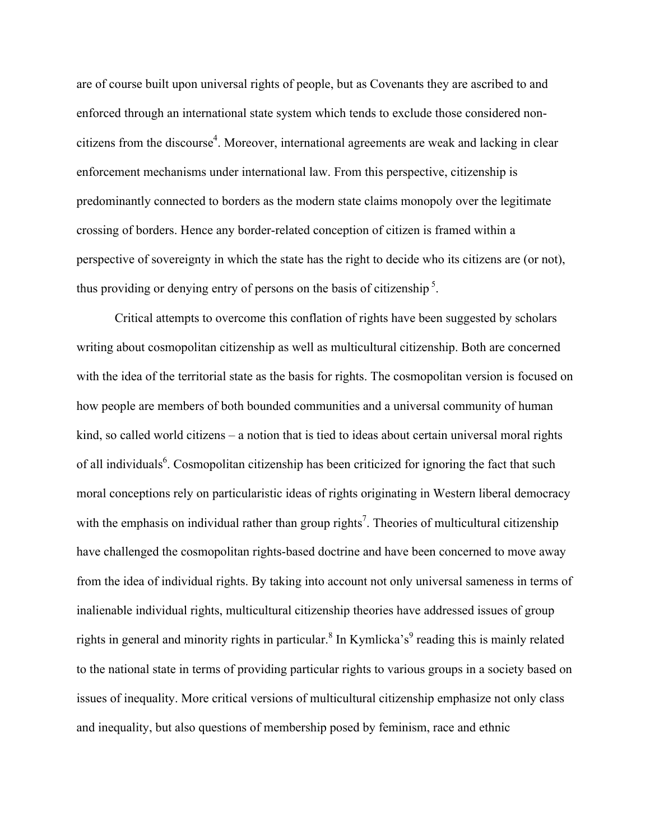are of course built upon universal rights of people, but as Covenants they are ascribed to and enforced through an international state system which tends to exclude those considered noncitizens from the discourse<sup>4</sup>. Moreover, international agreements are weak and lacking in clear enforcement mechanisms under international law. From this perspective, citizenship is predominantly connected to borders as the modern state claims monopoly over the legitimate crossing of borders. Hence any border-related conception of citizen is framed within a perspective of sovereignty in which the state has the right to decide who its citizens are (or not), thus providing or denying entry of persons on the basis of citizenship<sup>5</sup>.

Critical attempts to overcome this conflation of rights have been suggested by scholars writing about cosmopolitan citizenship as well as multicultural citizenship. Both are concerned with the idea of the territorial state as the basis for rights. The cosmopolitan version is focused on how people are members of both bounded communities and a universal community of human kind, so called world citizens – a notion that is tied to ideas about certain universal moral rights of all individuals<sup>6</sup>. Cosmopolitan citizenship has been criticized for ignoring the fact that such moral conceptions rely on particularistic ideas of rights originating in Western liberal democracy with the emphasis on individual rather than group rights<sup>7</sup>. Theories of multicultural citizenship have challenged the cosmopolitan rights-based doctrine and have been concerned to move away from the idea of individual rights. By taking into account not only universal sameness in terms of inalienable individual rights, multicultural citizenship theories have addressed issues of group rights in general and minority rights in particular.<sup>8</sup> In Kymlicka's<sup>9</sup> reading this is mainly related to the national state in terms of providing particular rights to various groups in a society based on issues of inequality. More critical versions of multicultural citizenship emphasize not only class and inequality, but also questions of membership posed by feminism, race and ethnic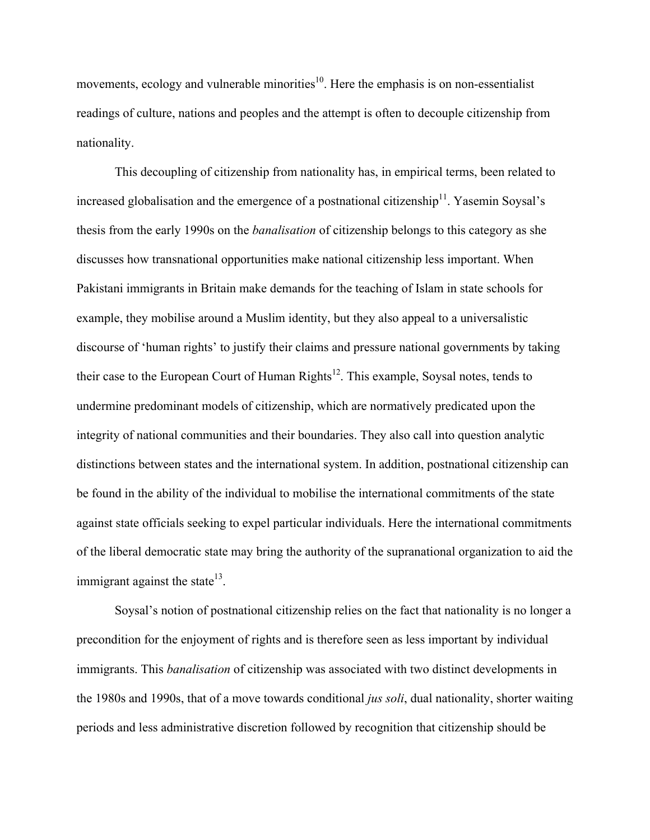movements, ecology and vulnerable minorities $10$ . Here the emphasis is on non-essentialist readings of culture, nations and peoples and the attempt is often to decouple citizenship from nationality.

This decoupling of citizenship from nationality has, in empirical terms, been related to increased globalisation and the emergence of a postnational citizenship<sup>11</sup>. Yasemin Soysal's thesis from the early 1990s on the *banalisation* of citizenship belongs to this category as she discusses how transnational opportunities make national citizenship less important. When Pakistani immigrants in Britain make demands for the teaching of Islam in state schools for example, they mobilise around a Muslim identity, but they also appeal to a universalistic discourse of 'human rights' to justify their claims and pressure national governments by taking their case to the European Court of Human Rights<sup>12</sup>. This example, Soysal notes, tends to undermine predominant models of citizenship, which are normatively predicated upon the integrity of national communities and their boundaries. They also call into question analytic distinctions between states and the international system. In addition, postnational citizenship can be found in the ability of the individual to mobilise the international commitments of the state against state officials seeking to expel particular individuals. Here the international commitments of the liberal democratic state may bring the authority of the supranational organization to aid the immigrant against the state $^{13}$ .

Soysal's notion of postnational citizenship relies on the fact that nationality is no longer a precondition for the enjoyment of rights and is therefore seen as less important by individual immigrants. This *banalisation* of citizenship was associated with two distinct developments in the 1980s and 1990s, that of a move towards conditional *jus soli*, dual nationality, shorter waiting periods and less administrative discretion followed by recognition that citizenship should be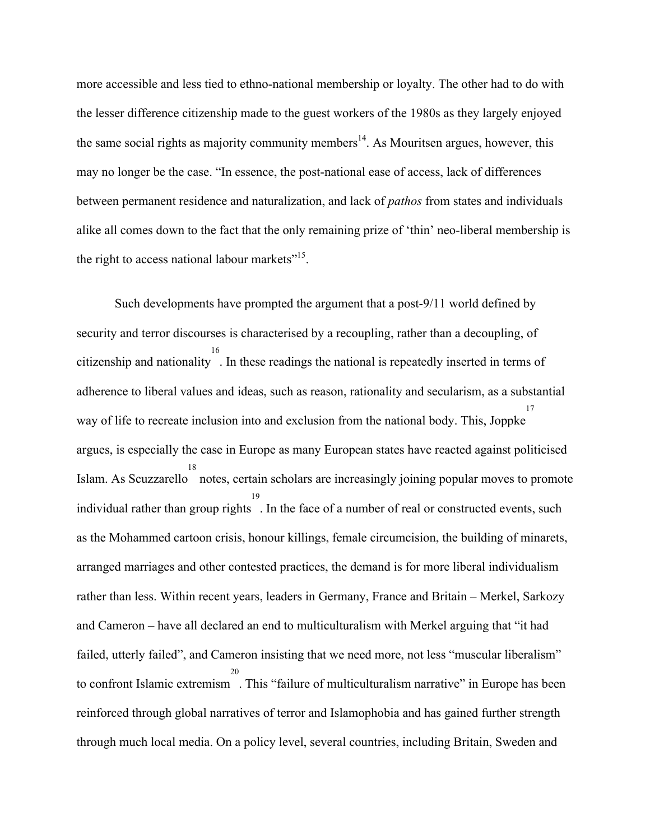more accessible and less tied to ethno-national membership or loyalty. The other had to do with the lesser difference citizenship made to the guest workers of the 1980s as they largely enjoyed the same social rights as majority community members<sup>14</sup>. As Mouritsen argues, however, this may no longer be the case. "In essence, the post-national ease of access, lack of differences between permanent residence and naturalization, and lack of *pathos* from states and individuals alike all comes down to the fact that the only remaining prize of 'thin' neo-liberal membership is the right to access national labour markets $"^{15}$ .

Such developments have prompted the argument that a post-9/11 world defined by security and terror discourses is characterised by a recoupling, rather than a decoupling, of citizenship and nationality . In these readings the national is repeatedly inserted in terms of 16 adherence to liberal values and ideas, such as reason, rationality and secularism, as a substantial way of life to recreate inclusion into and exclusion from the national body. This, Joppke 17 argues, is especially the case in Europe as many European states have reacted against politicised Islam. As Scuzzarello notes, certain scholars are increasingly joining popular moves to promote 18 individual rather than group rights . In the face of a number of real or constructed events, such 19 as the Mohammed cartoon crisis, honour killings, female circumcision, the building of minarets, arranged marriages and other contested practices, the demand is for more liberal individualism rather than less. Within recent years, leaders in Germany, France and Britain – Merkel, Sarkozy and Cameron – have all declared an end to multiculturalism with Merkel arguing that "it had failed, utterly failed", and Cameron insisting that we need more, not less "muscular liberalism" to confront Islamic extremism . This "failure of multiculturalism narrative" in Europe has been 20 reinforced through global narratives of terror and Islamophobia and has gained further strength through much local media. On a policy level, several countries, including Britain, Sweden and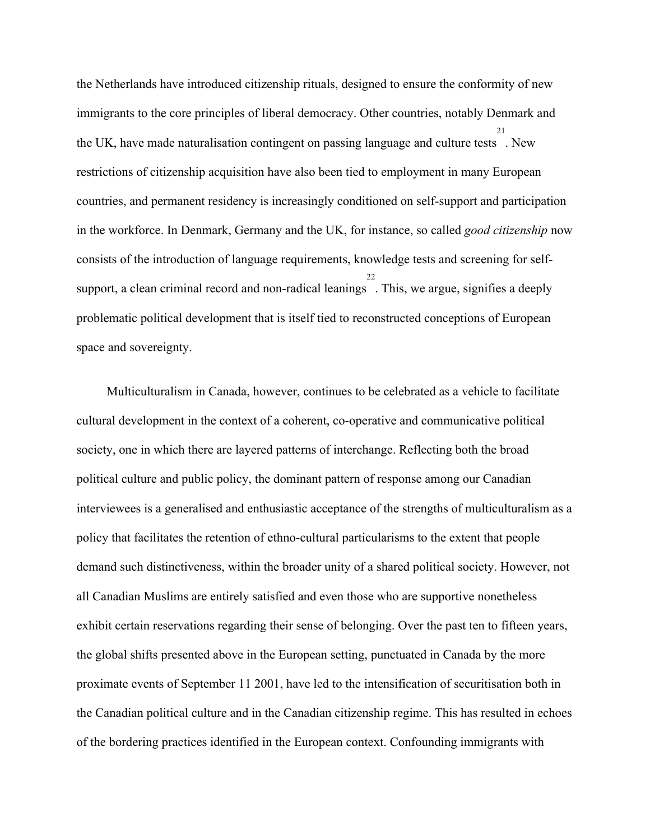the Netherlands have introduced citizenship rituals, designed to ensure the conformity of new immigrants to the core principles of liberal democracy. Other countries, notably Denmark and the UK, have made naturalisation contingent on passing language and culture tests . New 21 restrictions of citizenship acquisition have also been tied to employment in many European countries, and permanent residency is increasingly conditioned on self-support and participation in the workforce. In Denmark, Germany and the UK, for instance, so called *good citizenship* now consists of the introduction of language requirements, knowledge tests and screening for selfsupport, a clean criminal record and non-radical leanings 22 . This, we argue, signifies a deeply problematic political development that is itself tied to reconstructed conceptions of European space and sovereignty.

Multiculturalism in Canada, however, continues to be celebrated as a vehicle to facilitate cultural development in the context of a coherent, co-operative and communicative political society, one in which there are layered patterns of interchange. Reflecting both the broad political culture and public policy, the dominant pattern of response among our Canadian interviewees is a generalised and enthusiastic acceptance of the strengths of multiculturalism as a policy that facilitates the retention of ethno-cultural particularisms to the extent that people demand such distinctiveness, within the broader unity of a shared political society. However, not all Canadian Muslims are entirely satisfied and even those who are supportive nonetheless exhibit certain reservations regarding their sense of belonging. Over the past ten to fifteen years, the global shifts presented above in the European setting, punctuated in Canada by the more proximate events of September 11 2001, have led to the intensification of securitisation both in the Canadian political culture and in the Canadian citizenship regime. This has resulted in echoes of the bordering practices identified in the European context. Confounding immigrants with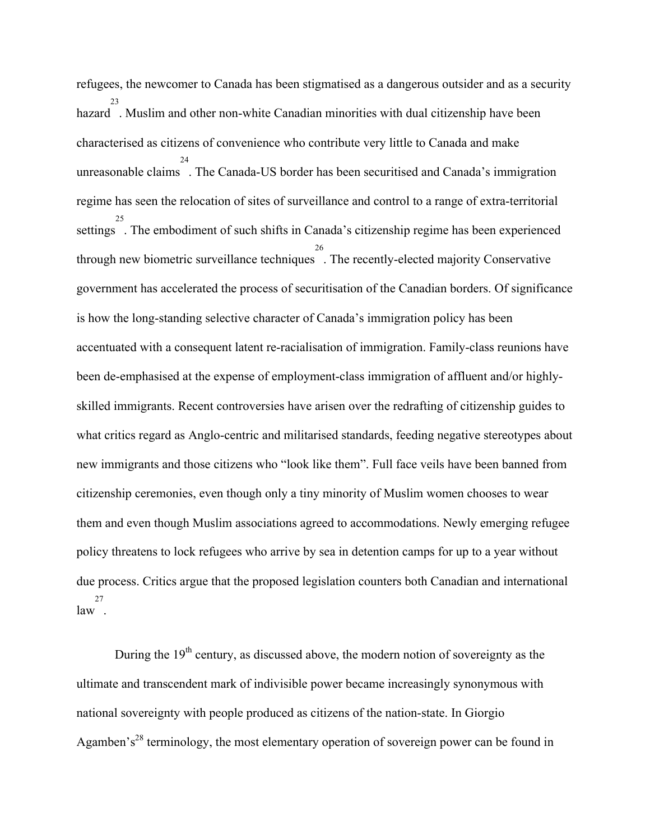refugees, the newcomer to Canada has been stigmatised as a dangerous outsider and as a security hazard . Muslim and other non-white Canadian minorities with dual citizenship have been 23 characterised as citizens of convenience who contribute very little to Canada and make unreasonable claims . The Canada-US border has been securitised and Canada's immigration 24 regime has seen the relocation of sites of surveillance and control to a range of extra-territorial settings . The embodiment of such shifts in Canada's citizenship regime has been experienced 25 through new biometric surveillance techniques . The recently-elected majority Conservative 26 government has accelerated the process of securitisation of the Canadian borders. Of significance is how the long-standing selective character of Canada's immigration policy has been accentuated with a consequent latent re-racialisation of immigration. Family-class reunions have been de-emphasised at the expense of employment-class immigration of affluent and/or highlyskilled immigrants. Recent controversies have arisen over the redrafting of citizenship guides to what critics regard as Anglo-centric and militarised standards, feeding negative stereotypes about new immigrants and those citizens who "look like them". Full face veils have been banned from citizenship ceremonies, even though only a tiny minority of Muslim women chooses to wear them and even though Muslim associations agreed to accommodations. Newly emerging refugee policy threatens to lock refugees who arrive by sea in detention camps for up to a year without due process. Critics argue that the proposed legislation counters both Canadian and international law . 27

During the  $19<sup>th</sup>$  century, as discussed above, the modern notion of sovereignty as the ultimate and transcendent mark of indivisible power became increasingly synonymous with national sovereignty with people produced as citizens of the nation-state. In Giorgio Agamben's<sup>28</sup> terminology, the most elementary operation of sovereign power can be found in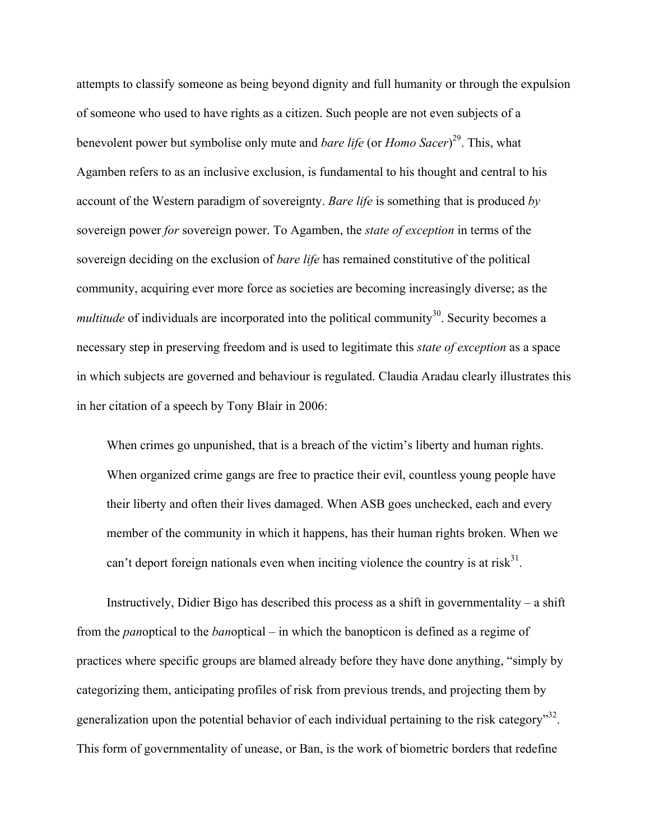attempts to classify someone as being beyond dignity and full humanity or through the expulsion of someone who used to have rights as a citizen. Such people are not even subjects of a benevolent power but symbolise only mute and *bare life* (or *Homo Sacer*) 29. This, what Agamben refers to as an inclusive exclusion, is fundamental to his thought and central to his account of the Western paradigm of sovereignty. *Bare life* is something that is produced *by* sovereign power *for* sovereign power. To Agamben, the *state of exception* in terms of the sovereign deciding on the exclusion of *bare life* has remained constitutive of the political community, acquiring ever more force as societies are becoming increasingly diverse; as the *multitude* of individuals are incorporated into the political community<sup>30</sup>. Security becomes a necessary step in preserving freedom and is used to legitimate this *state of exception* as a space in which subjects are governed and behaviour is regulated. Claudia Aradau clearly illustrates this in her citation of a speech by Tony Blair in 2006:

When crimes go unpunished, that is a breach of the victim's liberty and human rights. When organized crime gangs are free to practice their evil, countless young people have their liberty and often their lives damaged. When ASB goes unchecked, each and every member of the community in which it happens, has their human rights broken. When we can't deport foreign nationals even when inciting violence the country is at risk  $31$ .

Instructively, Didier Bigo has described this process as a shift in governmentality – a shift from the *pan*optical to the *ban*optical – in which the banopticon is defined as a regime of practices where specific groups are blamed already before they have done anything, "simply by categorizing them, anticipating profiles of risk from previous trends, and projecting them by generalization upon the potential behavior of each individual pertaining to the risk category<sup>32</sup>. This form of governmentality of unease, or Ban, is the work of biometric borders that redefine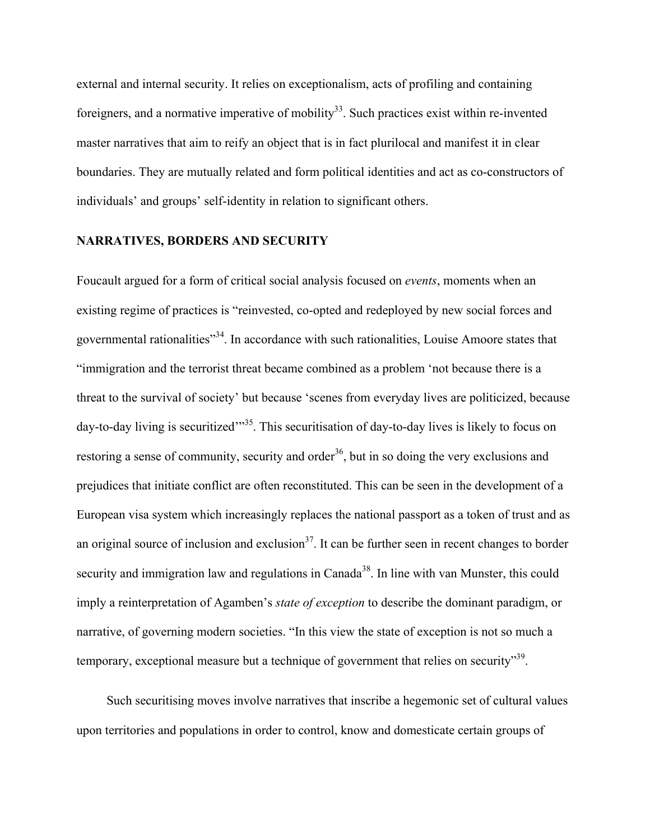external and internal security. It relies on exceptionalism, acts of profiling and containing foreigners, and a normative imperative of mobility<sup>33</sup>. Such practices exist within re-invented master narratives that aim to reify an object that is in fact plurilocal and manifest it in clear boundaries. They are mutually related and form political identities and act as co-constructors of individuals' and groups' self-identity in relation to significant others.

#### **NARRATIVES, BORDERS AND SECURITY**

Foucault argued for a form of critical social analysis focused on *events*, moments when an existing regime of practices is "reinvested, co-opted and redeployed by new social forces and governmental rationalities<sup>334</sup>. In accordance with such rationalities, Louise Amoore states that "immigration and the terrorist threat became combined as a problem 'not because there is a threat to the survival of society' but because 'scenes from everyday lives are politicized, because day-to-day living is securitized<sup>"35</sup>. This securitisation of day-to-day lives is likely to focus on restoring a sense of community, security and order<sup>36</sup>, but in so doing the very exclusions and prejudices that initiate conflict are often reconstituted. This can be seen in the development of a European visa system which increasingly replaces the national passport as a token of trust and as an original source of inclusion and exclusion<sup>37</sup>. It can be further seen in recent changes to border security and immigration law and regulations in Canada<sup>38</sup>. In line with van Munster, this could imply a reinterpretation of Agamben's *state of exception* to describe the dominant paradigm, or narrative, of governing modern societies. "In this view the state of exception is not so much a temporary, exceptional measure but a technique of government that relies on security<sup>39</sup>.

Such securitising moves involve narratives that inscribe a hegemonic set of cultural values upon territories and populations in order to control, know and domesticate certain groups of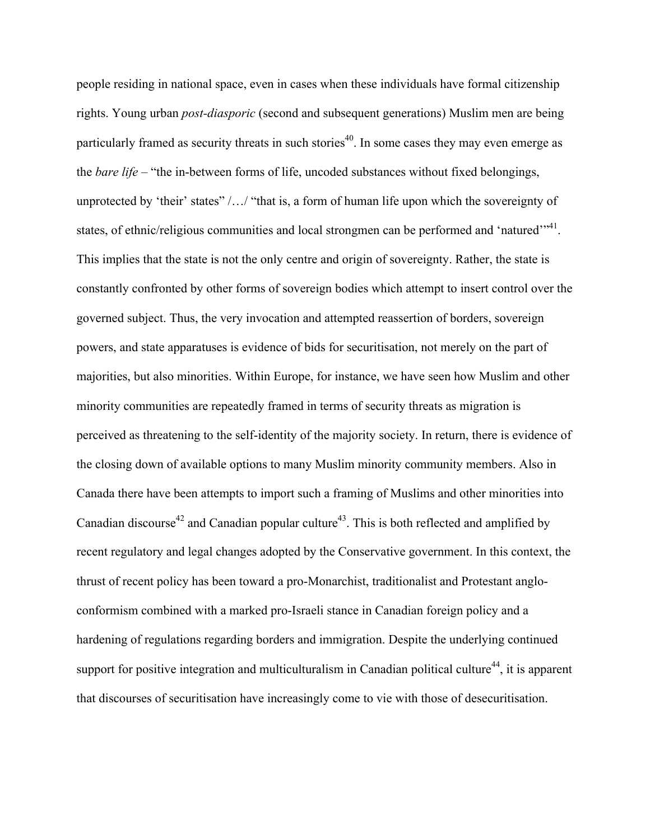people residing in national space, even in cases when these individuals have formal citizenship rights. Young urban *post-diasporic* (second and subsequent generations) Muslim men are being particularly framed as security threats in such stories<sup>40</sup>. In some cases they may even emerge as the *bare life* – "the in-between forms of life, uncoded substances without fixed belongings, unprotected by 'their' states" /.../ "that is, a form of human life upon which the sovereignty of states, of ethnic/religious communities and local strongmen can be performed and 'natured'"<sup>41</sup>. This implies that the state is not the only centre and origin of sovereignty. Rather, the state is constantly confronted by other forms of sovereign bodies which attempt to insert control over the governed subject. Thus, the very invocation and attempted reassertion of borders, sovereign powers, and state apparatuses is evidence of bids for securitisation, not merely on the part of majorities, but also minorities. Within Europe, for instance, we have seen how Muslim and other minority communities are repeatedly framed in terms of security threats as migration is perceived as threatening to the self-identity of the majority society. In return, there is evidence of the closing down of available options to many Muslim minority community members. Also in Canada there have been attempts to import such a framing of Muslims and other minorities into Canadian discourse<sup>42</sup> and Canadian popular culture<sup>43</sup>. This is both reflected and amplified by recent regulatory and legal changes adopted by the Conservative government. In this context, the thrust of recent policy has been toward a pro-Monarchist, traditionalist and Protestant angloconformism combined with a marked pro-Israeli stance in Canadian foreign policy and a hardening of regulations regarding borders and immigration. Despite the underlying continued support for positive integration and multiculturalism in Canadian political culture<sup>44</sup>, it is apparent that discourses of securitisation have increasingly come to vie with those of desecuritisation.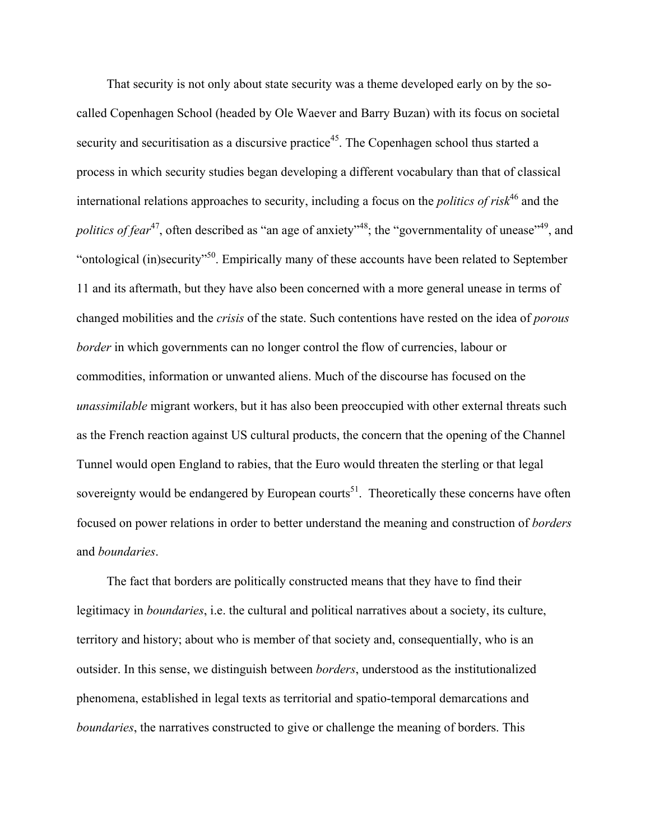That security is not only about state security was a theme developed early on by the socalled Copenhagen School (headed by Ole Waever and Barry Buzan) with its focus on societal security and securitisation as a discursive practice<sup>45</sup>. The Copenhagen school thus started a process in which security studies began developing a different vocabulary than that of classical international relations approaches to security, including a focus on the *politics of risk*<sup>46</sup> and the politics of fear<sup>47</sup>, often described as "an age of anxiety"<sup>48</sup>; the "governmentality of unease"<sup>49</sup>, and "ontological (in)security"50. Empirically many of these accounts have been related to September 11 and its aftermath, but they have also been concerned with a more general unease in terms of changed mobilities and the *crisis* of the state. Such contentions have rested on the idea of *porous border* in which governments can no longer control the flow of currencies, labour or commodities, information or unwanted aliens. Much of the discourse has focused on the *unassimilable* migrant workers, but it has also been preoccupied with other external threats such as the French reaction against US cultural products, the concern that the opening of the Channel Tunnel would open England to rabies, that the Euro would threaten the sterling or that legal sovereignty would be endangered by European courts<sup>51</sup>. Theoretically these concerns have often focused on power relations in order to better understand the meaning and construction of *borders* and *boundaries*.

The fact that borders are politically constructed means that they have to find their legitimacy in *boundaries*, i.e. the cultural and political narratives about a society, its culture, territory and history; about who is member of that society and, consequentially, who is an outsider. In this sense, we distinguish between *borders*, understood as the institutionalized phenomena, established in legal texts as territorial and spatio-temporal demarcations and *boundaries*, the narratives constructed to give or challenge the meaning of borders. This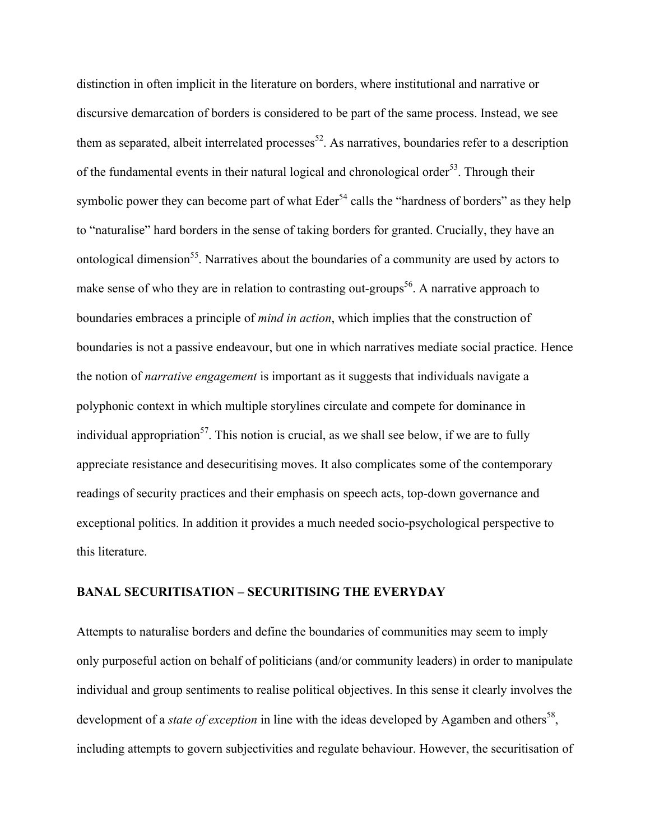distinction in often implicit in the literature on borders, where institutional and narrative or discursive demarcation of borders is considered to be part of the same process. Instead, we see them as separated, albeit interrelated processes<sup>52</sup>. As narratives, boundaries refer to a description of the fundamental events in their natural logical and chronological order<sup>53</sup>. Through their symbolic power they can become part of what  $Eder<sup>54</sup>$  calls the "hardness of borders" as they help to "naturalise" hard borders in the sense of taking borders for granted. Crucially, they have an ontological dimension<sup>55</sup>. Narratives about the boundaries of a community are used by actors to make sense of who they are in relation to contrasting out-groups<sup>56</sup>. A narrative approach to boundaries embraces a principle of *mind in action*, which implies that the construction of boundaries is not a passive endeavour, but one in which narratives mediate social practice. Hence the notion of *narrative engagement* is important as it suggests that individuals navigate a polyphonic context in which multiple storylines circulate and compete for dominance in individual appropriation<sup>57</sup>. This notion is crucial, as we shall see below, if we are to fully appreciate resistance and desecuritising moves. It also complicates some of the contemporary readings of security practices and their emphasis on speech acts, top-down governance and exceptional politics. In addition it provides a much needed socio-psychological perspective to this literature.

#### **BANAL SECURITISATION – SECURITISING THE EVERYDAY**

Attempts to naturalise borders and define the boundaries of communities may seem to imply only purposeful action on behalf of politicians (and/or community leaders) in order to manipulate individual and group sentiments to realise political objectives. In this sense it clearly involves the development of a *state of exception* in line with the ideas developed by Agamben and others<sup>58</sup>. including attempts to govern subjectivities and regulate behaviour. However, the securitisation of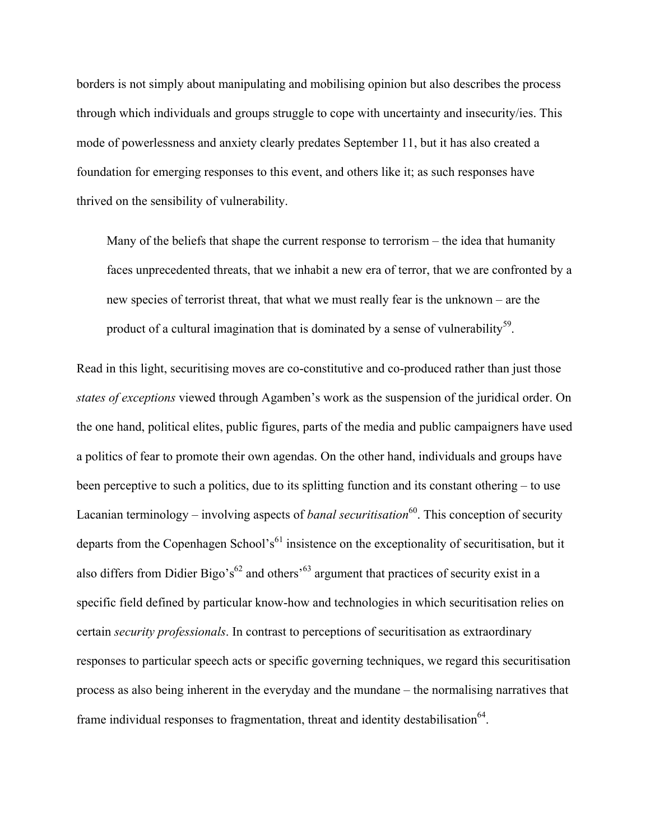borders is not simply about manipulating and mobilising opinion but also describes the process through which individuals and groups struggle to cope with uncertainty and insecurity/ies. This mode of powerlessness and anxiety clearly predates September 11, but it has also created a foundation for emerging responses to this event, and others like it; as such responses have thrived on the sensibility of vulnerability.

Many of the beliefs that shape the current response to terrorism – the idea that humanity faces unprecedented threats, that we inhabit a new era of terror, that we are confronted by a new species of terrorist threat, that what we must really fear is the unknown – are the product of a cultural imagination that is dominated by a sense of vulnerability<sup>59</sup>.

Read in this light, securitising moves are co-constitutive and co-produced rather than just those *states of exceptions* viewed through Agamben's work as the suspension of the juridical order. On the one hand, political elites, public figures, parts of the media and public campaigners have used a politics of fear to promote their own agendas. On the other hand, individuals and groups have been perceptive to such a politics, due to its splitting function and its constant othering – to use Lacanian terminology – involving aspects of *banal securitisation*<sup>60</sup>. This conception of security departs from the Copenhagen School's<sup>61</sup> insistence on the exceptionality of securitisation, but it also differs from Didier Bigo's<sup>62</sup> and others<sup>63</sup> argument that practices of security exist in a specific field defined by particular know-how and technologies in which securitisation relies on certain *security professionals*. In contrast to perceptions of securitisation as extraordinary responses to particular speech acts or specific governing techniques, we regard this securitisation process as also being inherent in the everyday and the mundane – the normalising narratives that frame individual responses to fragmentation, threat and identity destabilisation<sup>64</sup>.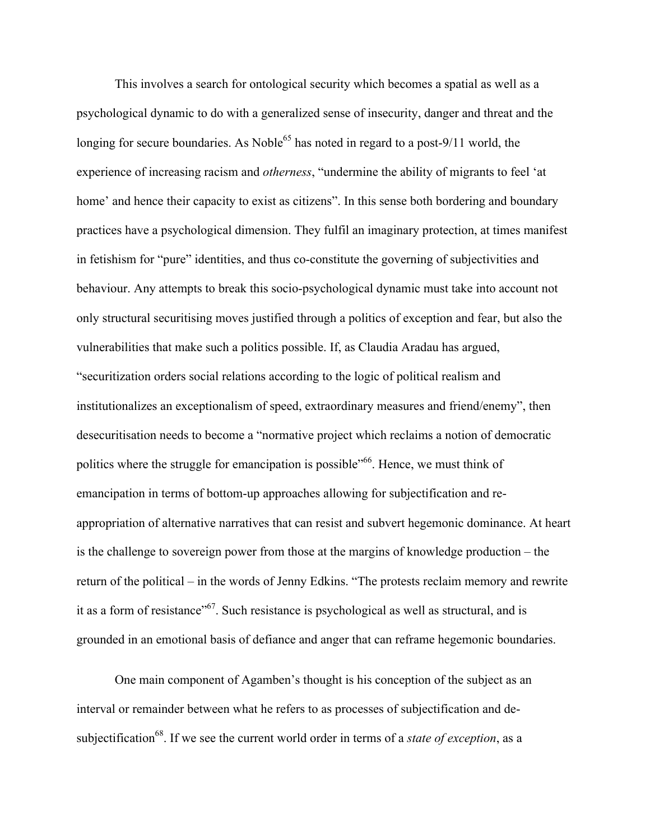This involves a search for ontological security which becomes a spatial as well as a psychological dynamic to do with a generalized sense of insecurity, danger and threat and the longing for secure boundaries. As Noble<sup>65</sup> has noted in regard to a post-9/11 world, the experience of increasing racism and *otherness*, "undermine the ability of migrants to feel 'at home' and hence their capacity to exist as citizens". In this sense both bordering and boundary practices have a psychological dimension. They fulfil an imaginary protection, at times manifest in fetishism for "pure" identities, and thus co-constitute the governing of subjectivities and behaviour. Any attempts to break this socio-psychological dynamic must take into account not only structural securitising moves justified through a politics of exception and fear, but also the vulnerabilities that make such a politics possible. If, as Claudia Aradau has argued, "securitization orders social relations according to the logic of political realism and institutionalizes an exceptionalism of speed, extraordinary measures and friend/enemy", then desecuritisation needs to become a "normative project which reclaims a notion of democratic politics where the struggle for emancipation is possible<sup>"66</sup>. Hence, we must think of emancipation in terms of bottom-up approaches allowing for subjectification and reappropriation of alternative narratives that can resist and subvert hegemonic dominance. At heart is the challenge to sovereign power from those at the margins of knowledge production – the return of the political – in the words of Jenny Edkins. "The protests reclaim memory and rewrite it as a form of resistance"67. Such resistance is psychological as well as structural, and is grounded in an emotional basis of defiance and anger that can reframe hegemonic boundaries.

One main component of Agamben's thought is his conception of the subject as an interval or remainder between what he refers to as processes of subjectification and desubjectification<sup>68</sup>. If we see the current world order in terms of a *state of exception*, as a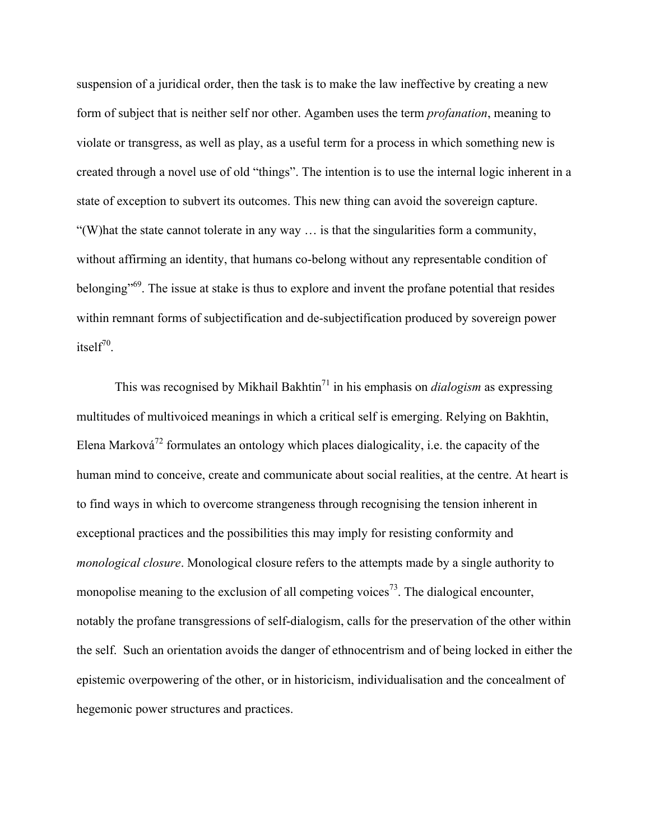suspension of a juridical order, then the task is to make the law ineffective by creating a new form of subject that is neither self nor other. Agamben uses the term *profanation*, meaning to violate or transgress, as well as play, as a useful term for a process in which something new is created through a novel use of old "things". The intention is to use the internal logic inherent in a state of exception to subvert its outcomes. This new thing can avoid the sovereign capture. "(W)hat the state cannot tolerate in any way … is that the singularities form a community, without affirming an identity, that humans co-belong without any representable condition of belonging<sup>"69</sup>. The issue at stake is thus to explore and invent the profane potential that resides within remnant forms of subjectification and de-subjectification produced by sovereign power itsel $f^{70}$ .

This was recognised by Mikhail Bakhtin<sup>71</sup> in his emphasis on *dialogism* as expressing multitudes of multivoiced meanings in which a critical self is emerging. Relying on Bakhtin, Elena Marková<sup>72</sup> formulates an ontology which places dialogicality, i.e. the capacity of the human mind to conceive, create and communicate about social realities, at the centre. At heart is to find ways in which to overcome strangeness through recognising the tension inherent in exceptional practices and the possibilities this may imply for resisting conformity and *monological closure*. Monological closure refers to the attempts made by a single authority to monopolise meaning to the exclusion of all competing voices<sup>73</sup>. The dialogical encounter, notably the profane transgressions of self-dialogism, calls for the preservation of the other within the self. Such an orientation avoids the danger of ethnocentrism and of being locked in either the epistemic overpowering of the other, or in historicism, individualisation and the concealment of hegemonic power structures and practices.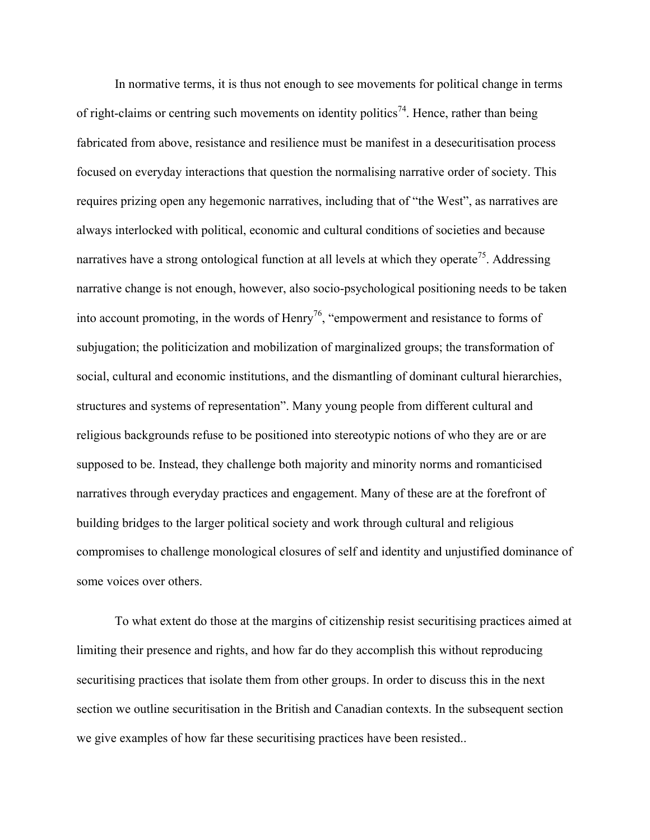In normative terms, it is thus not enough to see movements for political change in terms of right-claims or centring such movements on identity politics<sup>74</sup>. Hence, rather than being fabricated from above, resistance and resilience must be manifest in a desecuritisation process focused on everyday interactions that question the normalising narrative order of society. This requires prizing open any hegemonic narratives, including that of "the West", as narratives are always interlocked with political, economic and cultural conditions of societies and because narratives have a strong ontological function at all levels at which they operate<sup>75</sup>. Addressing narrative change is not enough, however, also socio-psychological positioning needs to be taken into account promoting, in the words of  $\text{Henry}^{76}$ , "empowerment and resistance to forms of subjugation; the politicization and mobilization of marginalized groups; the transformation of social, cultural and economic institutions, and the dismantling of dominant cultural hierarchies, structures and systems of representation". Many young people from different cultural and religious backgrounds refuse to be positioned into stereotypic notions of who they are or are supposed to be. Instead, they challenge both majority and minority norms and romanticised narratives through everyday practices and engagement. Many of these are at the forefront of building bridges to the larger political society and work through cultural and religious compromises to challenge monological closures of self and identity and unjustified dominance of some voices over others.

To what extent do those at the margins of citizenship resist securitising practices aimed at limiting their presence and rights, and how far do they accomplish this without reproducing securitising practices that isolate them from other groups. In order to discuss this in the next section we outline securitisation in the British and Canadian contexts. In the subsequent section we give examples of how far these securitising practices have been resisted..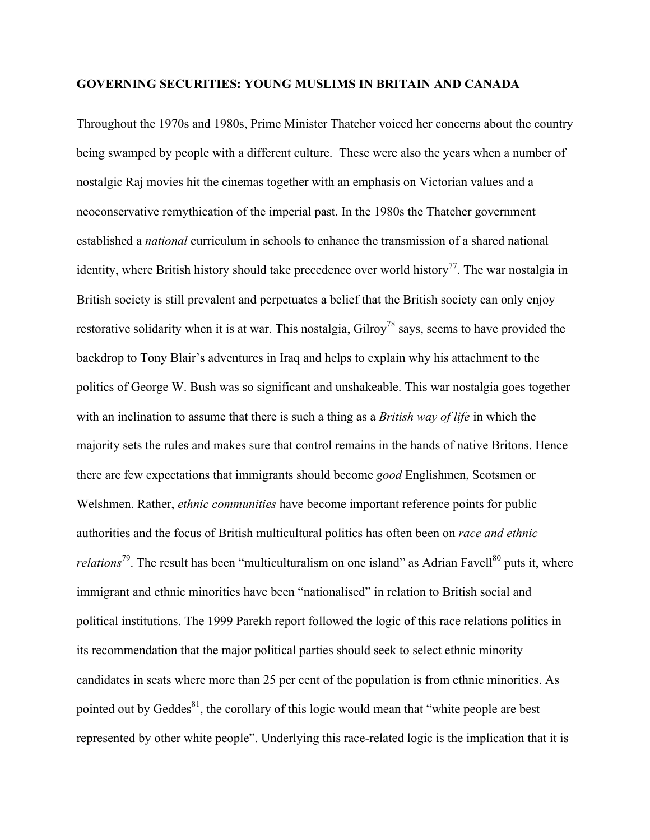#### **GOVERNING SECURITIES: YOUNG MUSLIMS IN BRITAIN AND CANADA**

Throughout the 1970s and 1980s, Prime Minister Thatcher voiced her concerns about the country being swamped by people with a different culture. These were also the years when a number of nostalgic Raj movies hit the cinemas together with an emphasis on Victorian values and a neoconservative remythication of the imperial past. In the 1980s the Thatcher government established a *national* curriculum in schools to enhance the transmission of a shared national identity, where British history should take precedence over world history<sup>77</sup>. The war nostalgia in British society is still prevalent and perpetuates a belief that the British society can only enjoy restorative solidarity when it is at war. This nostalgia, Gilroy<sup>78</sup> says, seems to have provided the backdrop to Tony Blair's adventures in Iraq and helps to explain why his attachment to the politics of George W. Bush was so significant and unshakeable. This war nostalgia goes together with an inclination to assume that there is such a thing as a *British way of life* in which the majority sets the rules and makes sure that control remains in the hands of native Britons. Hence there are few expectations that immigrants should become *good* Englishmen, Scotsmen or Welshmen. Rather, *ethnic communities* have become important reference points for public authorities and the focus of British multicultural politics has often been on *race and ethnic relations*<sup>79</sup>. The result has been "multiculturalism on one island" as Adrian Favell<sup>80</sup> puts it, where immigrant and ethnic minorities have been "nationalised" in relation to British social and political institutions. The 1999 Parekh report followed the logic of this race relations politics in its recommendation that the major political parties should seek to select ethnic minority candidates in seats where more than 25 per cent of the population is from ethnic minorities. As pointed out by Geddes $^{81}$ , the corollary of this logic would mean that "white people are best represented by other white people". Underlying this race-related logic is the implication that it is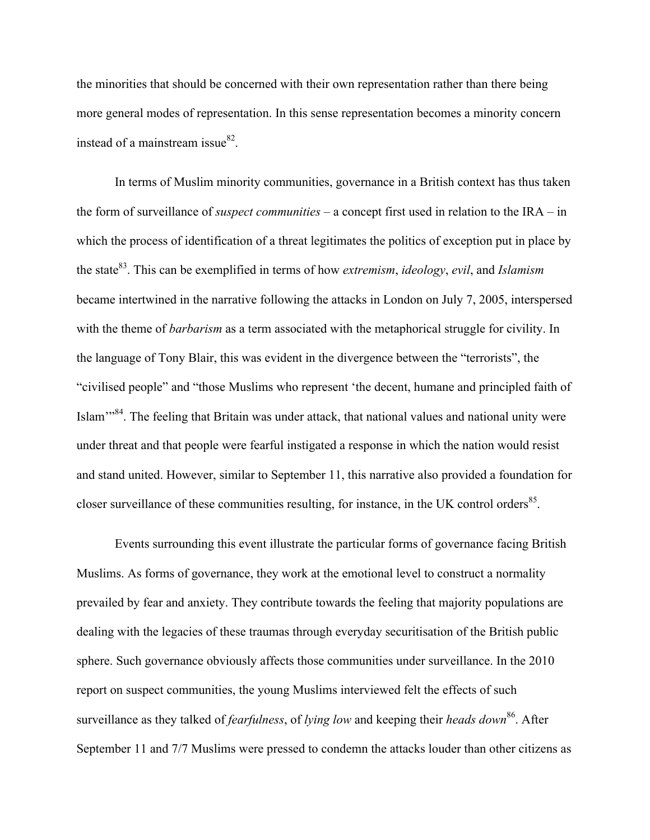the minorities that should be concerned with their own representation rather than there being more general modes of representation. In this sense representation becomes a minority concern instead of a mainstream issue $82$ .

In terms of Muslim minority communities, governance in a British context has thus taken the form of surveillance of *suspect communities* – a concept first used in relation to the IRA – in which the process of identification of a threat legitimates the politics of exception put in place by the state83. This can be exemplified in terms of how *extremism*, *ideology*, *evil*, and *Islamism* became intertwined in the narrative following the attacks in London on July 7, 2005, interspersed with the theme of *barbarism* as a term associated with the metaphorical struggle for civility. In the language of Tony Blair, this was evident in the divergence between the "terrorists", the "civilised people" and "those Muslims who represent 'the decent, humane and principled faith of Islam<sup>"84</sup>. The feeling that Britain was under attack, that national values and national unity were under threat and that people were fearful instigated a response in which the nation would resist and stand united. However, similar to September 11, this narrative also provided a foundation for closer surveillance of these communities resulting, for instance, in the UK control orders<sup>85</sup>.

Events surrounding this event illustrate the particular forms of governance facing British Muslims. As forms of governance, they work at the emotional level to construct a normality prevailed by fear and anxiety. They contribute towards the feeling that majority populations are dealing with the legacies of these traumas through everyday securitisation of the British public sphere. Such governance obviously affects those communities under surveillance. In the 2010 report on suspect communities, the young Muslims interviewed felt the effects of such surveillance as they talked of *fearfulness*, of *lying low* and keeping their *heads down*<sup>86</sup>. After September 11 and 7/7 Muslims were pressed to condemn the attacks louder than other citizens as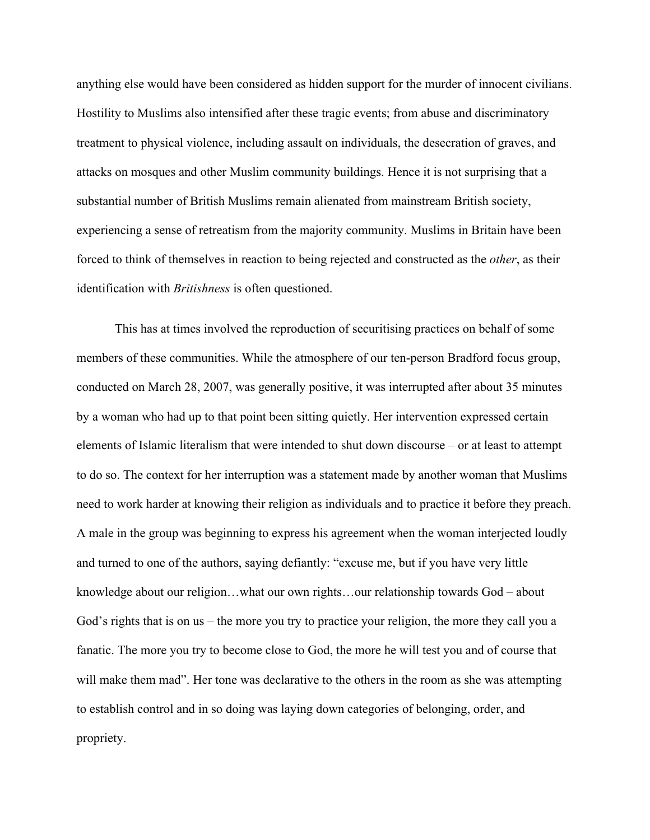anything else would have been considered as hidden support for the murder of innocent civilians. Hostility to Muslims also intensified after these tragic events; from abuse and discriminatory treatment to physical violence, including assault on individuals, the desecration of graves, and attacks on mosques and other Muslim community buildings. Hence it is not surprising that a substantial number of British Muslims remain alienated from mainstream British society, experiencing a sense of retreatism from the majority community. Muslims in Britain have been forced to think of themselves in reaction to being rejected and constructed as the *other*, as their identification with *Britishness* is often questioned.

This has at times involved the reproduction of securitising practices on behalf of some members of these communities. While the atmosphere of our ten-person Bradford focus group, conducted on March 28, 2007, was generally positive, it was interrupted after about 35 minutes by a woman who had up to that point been sitting quietly. Her intervention expressed certain elements of Islamic literalism that were intended to shut down discourse – or at least to attempt to do so. The context for her interruption was a statement made by another woman that Muslims need to work harder at knowing their religion as individuals and to practice it before they preach. A male in the group was beginning to express his agreement when the woman interjected loudly and turned to one of the authors, saying defiantly: "excuse me, but if you have very little knowledge about our religion…what our own rights…our relationship towards God – about God's rights that is on us – the more you try to practice your religion, the more they call you a fanatic. The more you try to become close to God, the more he will test you and of course that will make them mad". Her tone was declarative to the others in the room as she was attempting to establish control and in so doing was laying down categories of belonging, order, and propriety.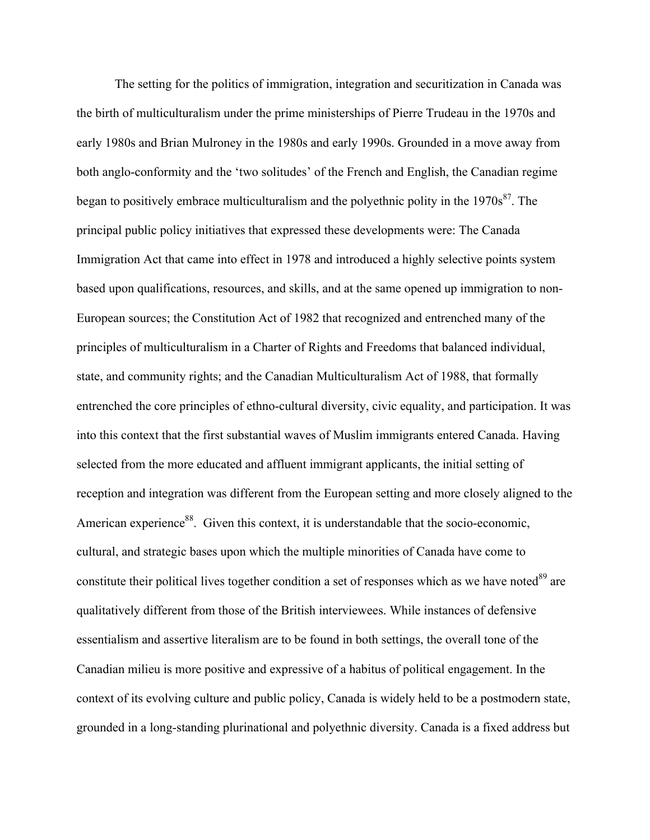The setting for the politics of immigration, integration and securitization in Canada was the birth of multiculturalism under the prime ministerships of Pierre Trudeau in the 1970s and early 1980s and Brian Mulroney in the 1980s and early 1990s. Grounded in a move away from both anglo-conformity and the 'two solitudes' of the French and English, the Canadian regime began to positively embrace multiculturalism and the polyethnic polity in the  $1970s^{87}$ . The principal public policy initiatives that expressed these developments were: The Canada Immigration Act that came into effect in 1978 and introduced a highly selective points system based upon qualifications, resources, and skills, and at the same opened up immigration to non-European sources; the Constitution Act of 1982 that recognized and entrenched many of the principles of multiculturalism in a Charter of Rights and Freedoms that balanced individual, state, and community rights; and the Canadian Multiculturalism Act of 1988, that formally entrenched the core principles of ethno-cultural diversity, civic equality, and participation. It was into this context that the first substantial waves of Muslim immigrants entered Canada. Having selected from the more educated and affluent immigrant applicants, the initial setting of reception and integration was different from the European setting and more closely aligned to the American experience $88$ . Given this context, it is understandable that the socio-economic, cultural, and strategic bases upon which the multiple minorities of Canada have come to constitute their political lives together condition a set of responses which as we have noted<sup>89</sup> are qualitatively different from those of the British interviewees. While instances of defensive essentialism and assertive literalism are to be found in both settings, the overall tone of the Canadian milieu is more positive and expressive of a habitus of political engagement. In the context of its evolving culture and public policy, Canada is widely held to be a postmodern state, grounded in a long-standing plurinational and polyethnic diversity. Canada is a fixed address but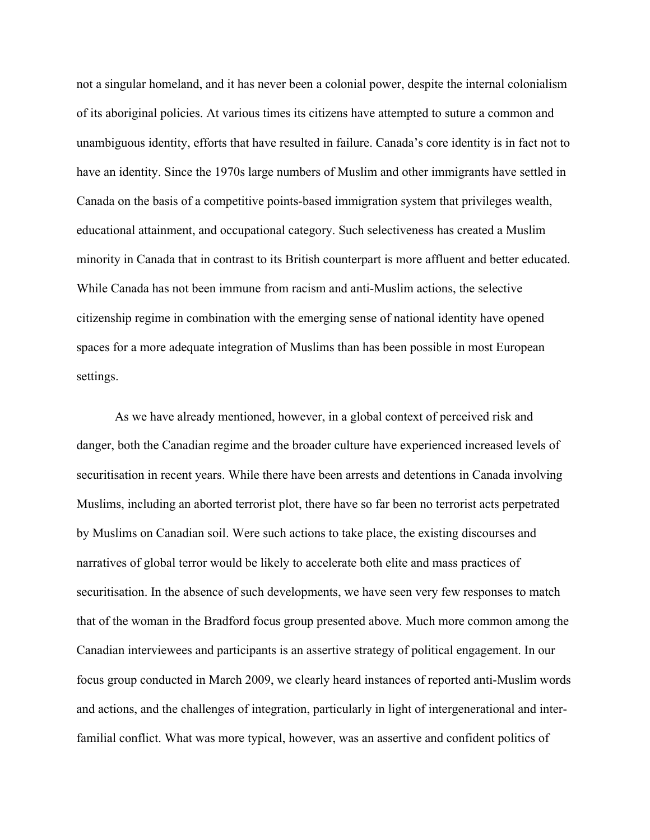not a singular homeland, and it has never been a colonial power, despite the internal colonialism of its aboriginal policies. At various times its citizens have attempted to suture a common and unambiguous identity, efforts that have resulted in failure. Canada's core identity is in fact not to have an identity. Since the 1970s large numbers of Muslim and other immigrants have settled in Canada on the basis of a competitive points-based immigration system that privileges wealth, educational attainment, and occupational category. Such selectiveness has created a Muslim minority in Canada that in contrast to its British counterpart is more affluent and better educated. While Canada has not been immune from racism and anti-Muslim actions, the selective citizenship regime in combination with the emerging sense of national identity have opened spaces for a more adequate integration of Muslims than has been possible in most European settings.

As we have already mentioned, however, in a global context of perceived risk and danger, both the Canadian regime and the broader culture have experienced increased levels of securitisation in recent years. While there have been arrests and detentions in Canada involving Muslims, including an aborted terrorist plot, there have so far been no terrorist acts perpetrated by Muslims on Canadian soil. Were such actions to take place, the existing discourses and narratives of global terror would be likely to accelerate both elite and mass practices of securitisation. In the absence of such developments, we have seen very few responses to match that of the woman in the Bradford focus group presented above. Much more common among the Canadian interviewees and participants is an assertive strategy of political engagement. In our focus group conducted in March 2009, we clearly heard instances of reported anti-Muslim words and actions, and the challenges of integration, particularly in light of intergenerational and interfamilial conflict. What was more typical, however, was an assertive and confident politics of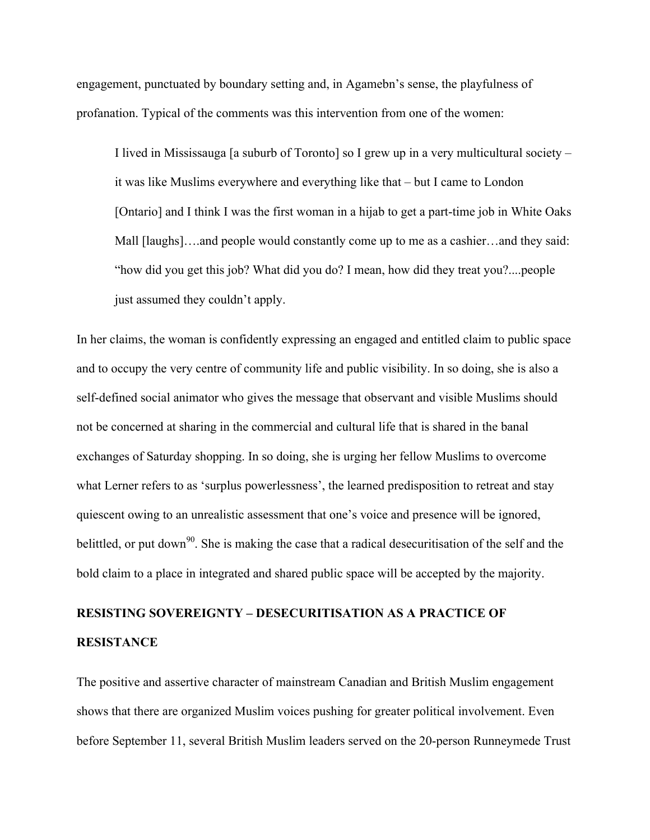engagement, punctuated by boundary setting and, in Agamebn's sense, the playfulness of profanation. Typical of the comments was this intervention from one of the women:

I lived in Mississauga [a suburb of Toronto] so I grew up in a very multicultural society – it was like Muslims everywhere and everything like that – but I came to London [Ontario] and I think I was the first woman in a hijab to get a part-time job in White Oaks Mall [laughs]….and people would constantly come up to me as a cashier…and they said: "how did you get this job? What did you do? I mean, how did they treat you?....people just assumed they couldn't apply.

In her claims, the woman is confidently expressing an engaged and entitled claim to public space and to occupy the very centre of community life and public visibility. In so doing, she is also a self-defined social animator who gives the message that observant and visible Muslims should not be concerned at sharing in the commercial and cultural life that is shared in the banal exchanges of Saturday shopping. In so doing, she is urging her fellow Muslims to overcome what Lerner refers to as 'surplus powerlessness', the learned predisposition to retreat and stay quiescent owing to an unrealistic assessment that one's voice and presence will be ignored, belittled, or put down<sup>90</sup>. She is making the case that a radical desecuritisation of the self and the bold claim to a place in integrated and shared public space will be accepted by the majority.

## **RESISTING SOVEREIGNTY – DESECURITISATION AS A PRACTICE OF RESISTANCE**

The positive and assertive character of mainstream Canadian and British Muslim engagement shows that there are organized Muslim voices pushing for greater political involvement. Even before September 11, several British Muslim leaders served on the 20-person Runneymede Trust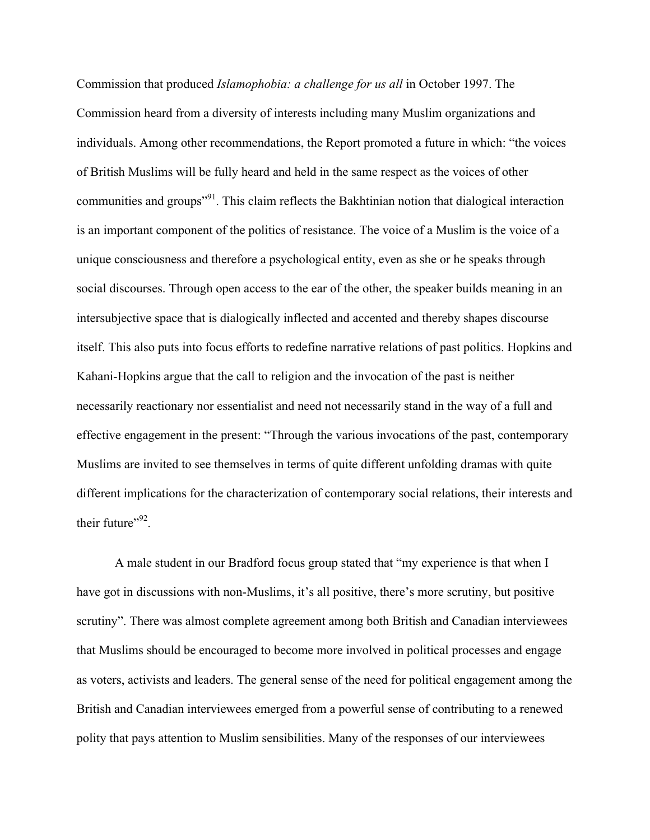Commission that produced *Islamophobia: a challenge for us all* in October 1997. The Commission heard from a diversity of interests including many Muslim organizations and individuals. Among other recommendations, the Report promoted a future in which: "the voices of British Muslims will be fully heard and held in the same respect as the voices of other communities and groups<sup>"91</sup>. This claim reflects the Bakhtinian notion that dialogical interaction is an important component of the politics of resistance. The voice of a Muslim is the voice of a unique consciousness and therefore a psychological entity, even as she or he speaks through social discourses. Through open access to the ear of the other, the speaker builds meaning in an intersubjective space that is dialogically inflected and accented and thereby shapes discourse itself. This also puts into focus efforts to redefine narrative relations of past politics. Hopkins and Kahani-Hopkins argue that the call to religion and the invocation of the past is neither necessarily reactionary nor essentialist and need not necessarily stand in the way of a full and effective engagement in the present: "Through the various invocations of the past, contemporary Muslims are invited to see themselves in terms of quite different unfolding dramas with quite different implications for the characterization of contemporary social relations, their interests and their future".92

A male student in our Bradford focus group stated that "my experience is that when I have got in discussions with non-Muslims, it's all positive, there's more scrutiny, but positive scrutiny". There was almost complete agreement among both British and Canadian interviewees that Muslims should be encouraged to become more involved in political processes and engage as voters, activists and leaders. The general sense of the need for political engagement among the British and Canadian interviewees emerged from a powerful sense of contributing to a renewed polity that pays attention to Muslim sensibilities. Many of the responses of our interviewees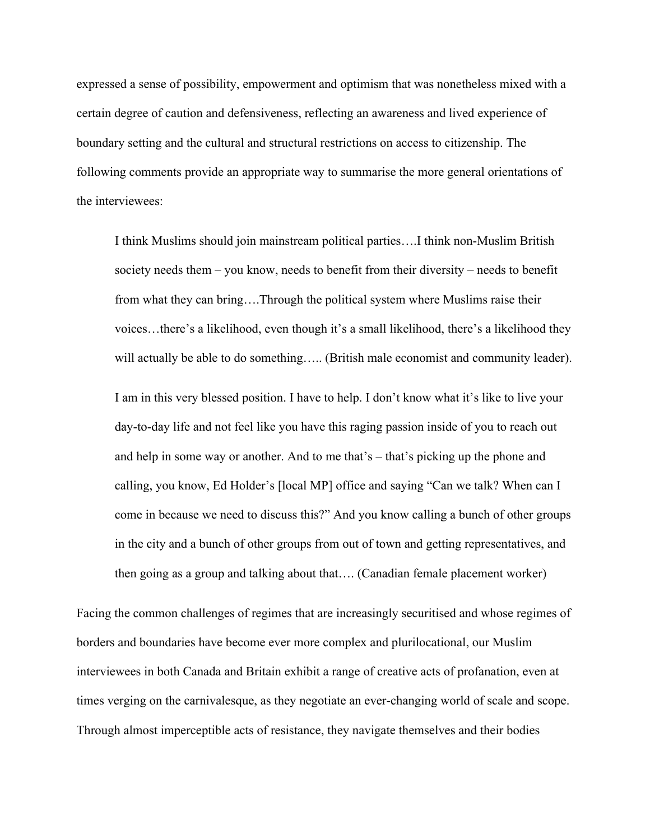expressed a sense of possibility, empowerment and optimism that was nonetheless mixed with a certain degree of caution and defensiveness, reflecting an awareness and lived experience of boundary setting and the cultural and structural restrictions on access to citizenship. The following comments provide an appropriate way to summarise the more general orientations of the interviewees:

I think Muslims should join mainstream political parties….I think non-Muslim British society needs them – you know, needs to benefit from their diversity – needs to benefit from what they can bring….Through the political system where Muslims raise their voices…there's a likelihood, even though it's a small likelihood, there's a likelihood they will actually be able to do something..... (British male economist and community leader).

I am in this very blessed position. I have to help. I don't know what it's like to live your day-to-day life and not feel like you have this raging passion inside of you to reach out and help in some way or another. And to me that's – that's picking up the phone and calling, you know, Ed Holder's [local MP] office and saying "Can we talk? When can I come in because we need to discuss this?" And you know calling a bunch of other groups in the city and a bunch of other groups from out of town and getting representatives, and then going as a group and talking about that…. (Canadian female placement worker)

Facing the common challenges of regimes that are increasingly securitised and whose regimes of borders and boundaries have become ever more complex and plurilocational, our Muslim interviewees in both Canada and Britain exhibit a range of creative acts of profanation, even at times verging on the carnivalesque, as they negotiate an ever-changing world of scale and scope. Through almost imperceptible acts of resistance, they navigate themselves and their bodies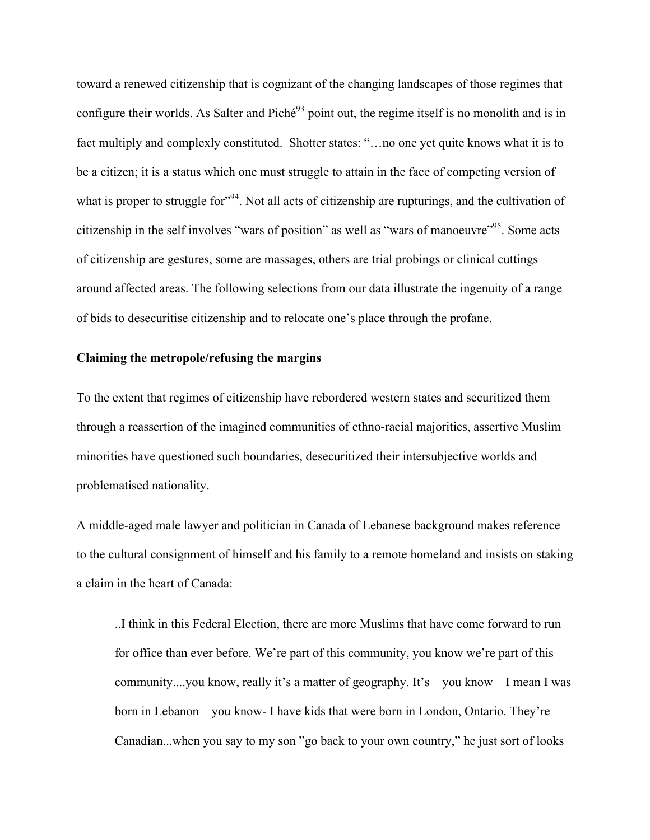toward a renewed citizenship that is cognizant of the changing landscapes of those regimes that configure their worlds. As Salter and Piché<sup>93</sup> point out, the regime itself is no monolith and is in fact multiply and complexly constituted. Shotter states: "…no one yet quite knows what it is to be a citizen; it is a status which one must struggle to attain in the face of competing version of what is proper to struggle for<sup>394</sup>. Not all acts of citizenship are rupturings, and the cultivation of citizenship in the self involves "wars of position" as well as "wars of manoeuvre"<sup>95</sup>. Some acts of citizenship are gestures, some are massages, others are trial probings or clinical cuttings around affected areas. The following selections from our data illustrate the ingenuity of a range of bids to desecuritise citizenship and to relocate one's place through the profane.

#### **Claiming the metropole/refusing the margins**

To the extent that regimes of citizenship have rebordered western states and securitized them through a reassertion of the imagined communities of ethno-racial majorities, assertive Muslim minorities have questioned such boundaries, desecuritized their intersubjective worlds and problematised nationality.

A middle-aged male lawyer and politician in Canada of Lebanese background makes reference to the cultural consignment of himself and his family to a remote homeland and insists on staking a claim in the heart of Canada:

..I think in this Federal Election, there are more Muslims that have come forward to run for office than ever before. We're part of this community, you know we're part of this community....you know, really it's a matter of geography. It's – you know – I mean I was born in Lebanon – you know- I have kids that were born in London, Ontario. They're Canadian...when you say to my son "go back to your own country," he just sort of looks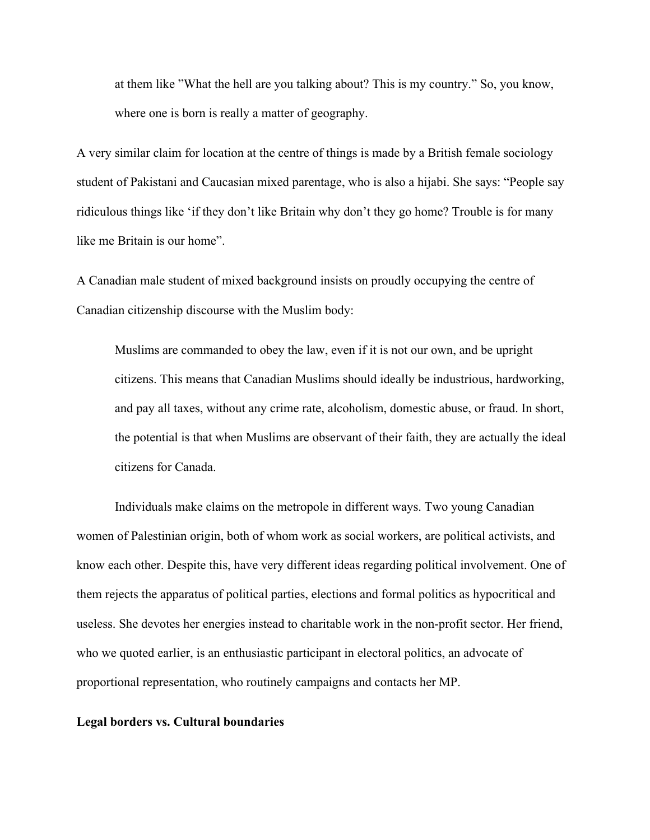at them like "What the hell are you talking about? This is my country." So, you know, where one is born is really a matter of geography.

A very similar claim for location at the centre of things is made by a British female sociology student of Pakistani and Caucasian mixed parentage, who is also a hijabi. She says: "People say ridiculous things like 'if they don't like Britain why don't they go home? Trouble is for many like me Britain is our home".

A Canadian male student of mixed background insists on proudly occupying the centre of Canadian citizenship discourse with the Muslim body:

Muslims are commanded to obey the law, even if it is not our own, and be upright citizens. This means that Canadian Muslims should ideally be industrious, hardworking, and pay all taxes, without any crime rate, alcoholism, domestic abuse, or fraud. In short, the potential is that when Muslims are observant of their faith, they are actually the ideal citizens for Canada.

Individuals make claims on the metropole in different ways. Two young Canadian women of Palestinian origin, both of whom work as social workers, are political activists, and know each other. Despite this, have very different ideas regarding political involvement. One of them rejects the apparatus of political parties, elections and formal politics as hypocritical and useless. She devotes her energies instead to charitable work in the non-profit sector. Her friend, who we quoted earlier, is an enthusiastic participant in electoral politics, an advocate of proportional representation, who routinely campaigns and contacts her MP.

#### **Legal borders vs. Cultural boundaries**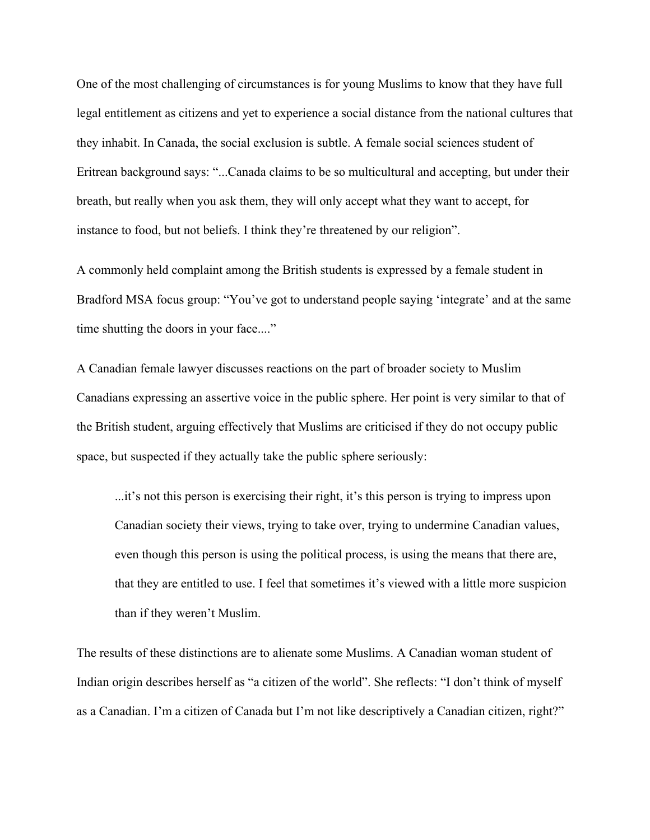One of the most challenging of circumstances is for young Muslims to know that they have full legal entitlement as citizens and yet to experience a social distance from the national cultures that they inhabit. In Canada, the social exclusion is subtle. A female social sciences student of Eritrean background says: "...Canada claims to be so multicultural and accepting, but under their breath, but really when you ask them, they will only accept what they want to accept, for instance to food, but not beliefs. I think they're threatened by our religion".

A commonly held complaint among the British students is expressed by a female student in Bradford MSA focus group: "You've got to understand people saying 'integrate' and at the same time shutting the doors in your face...."

A Canadian female lawyer discusses reactions on the part of broader society to Muslim Canadians expressing an assertive voice in the public sphere. Her point is very similar to that of the British student, arguing effectively that Muslims are criticised if they do not occupy public space, but suspected if they actually take the public sphere seriously:

...it's not this person is exercising their right, it's this person is trying to impress upon Canadian society their views, trying to take over, trying to undermine Canadian values, even though this person is using the political process, is using the means that there are, that they are entitled to use. I feel that sometimes it's viewed with a little more suspicion than if they weren't Muslim.

The results of these distinctions are to alienate some Muslims. A Canadian woman student of Indian origin describes herself as "a citizen of the world". She reflects: "I don't think of myself as a Canadian. I'm a citizen of Canada but I'm not like descriptively a Canadian citizen, right?"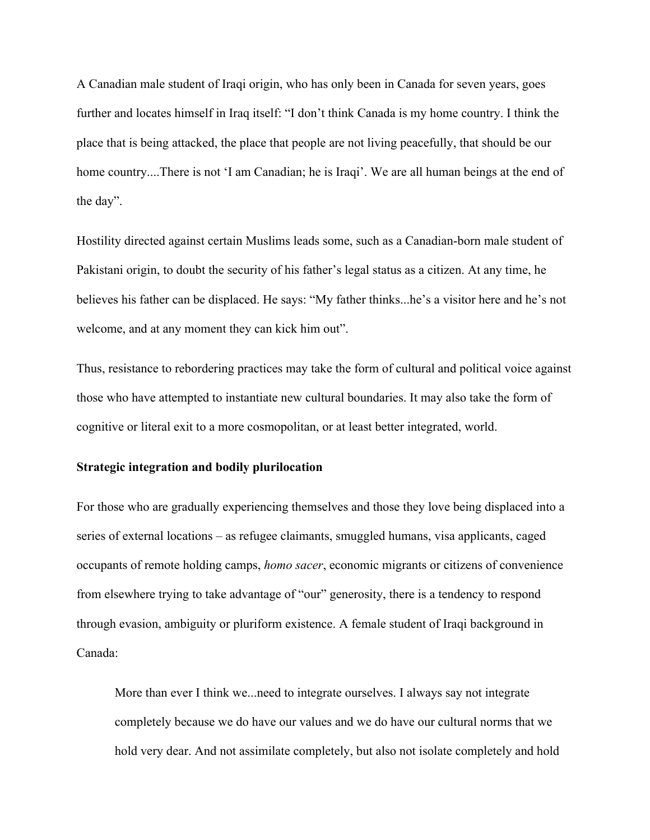A Canadian male student of Iraqi origin, who has only been in Canada for seven years, goes further and locates himself in Iraq itself: "I don't think Canada is my home country. I think the place that is being attacked, the place that people are not living peacefully, that should be our home country....There is not 'I am Canadian; he is Iraqi'. We are all human beings at the end of the day".

Hostility directed against certain Muslims leads some, such as a Canadian-born male student of Pakistani origin, to doubt the security of his father's legal status as a citizen. At any time, he believes his father can be displaced. He says: "My father thinks...he's a visitor here and he's not welcome, and at any moment they can kick him out".

Thus, resistance to rebordering practices may take the form of cultural and political voice against those who have attempted to instantiate new cultural boundaries. It may also take the form of cognitive or literal exit to a more cosmopolitan, or at least better integrated, world.

### **Strategic integration and bodily plurilocation**

For those who are gradually experiencing themselves and those they love being displaced into a series of external locations – as refugee claimants, smuggled humans, visa applicants, caged occupants of remote holding camps, *homo sacer*, economic migrants or citizens of convenience from elsewhere trying to take advantage of "our" generosity, there is a tendency to respond through evasion, ambiguity or pluriform existence. A female student of Iraqi background in Canada:

More than ever I think we...need to integrate ourselves. I always say not integrate completely because we do have our values and we do have our cultural norms that we hold very dear. And not assimilate completely, but also not isolate completely and hold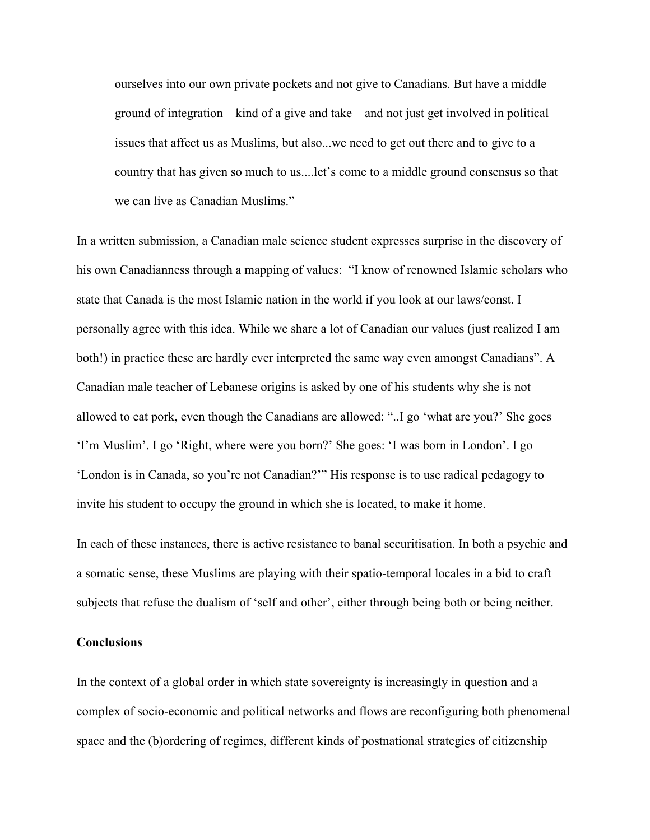ourselves into our own private pockets and not give to Canadians. But have a middle ground of integration – kind of a give and take – and not just get involved in political issues that affect us as Muslims, but also...we need to get out there and to give to a country that has given so much to us....let's come to a middle ground consensus so that we can live as Canadian Muslims."

In a written submission, a Canadian male science student expresses surprise in the discovery of his own Canadianness through a mapping of values: "I know of renowned Islamic scholars who state that Canada is the most Islamic nation in the world if you look at our laws/const. I personally agree with this idea. While we share a lot of Canadian our values (just realized I am both!) in practice these are hardly ever interpreted the same way even amongst Canadians". A Canadian male teacher of Lebanese origins is asked by one of his students why she is not allowed to eat pork, even though the Canadians are allowed: "..I go 'what are you?' She goes 'I'm Muslim'. I go 'Right, where were you born?' She goes: 'I was born in London'. I go 'London is in Canada, so you're not Canadian?'" His response is to use radical pedagogy to invite his student to occupy the ground in which she is located, to make it home.

In each of these instances, there is active resistance to banal securitisation. In both a psychic and a somatic sense, these Muslims are playing with their spatio-temporal locales in a bid to craft subjects that refuse the dualism of 'self and other', either through being both or being neither.

#### **Conclusions**

In the context of a global order in which state sovereignty is increasingly in question and a complex of socio-economic and political networks and flows are reconfiguring both phenomenal space and the (b)ordering of regimes, different kinds of postnational strategies of citizenship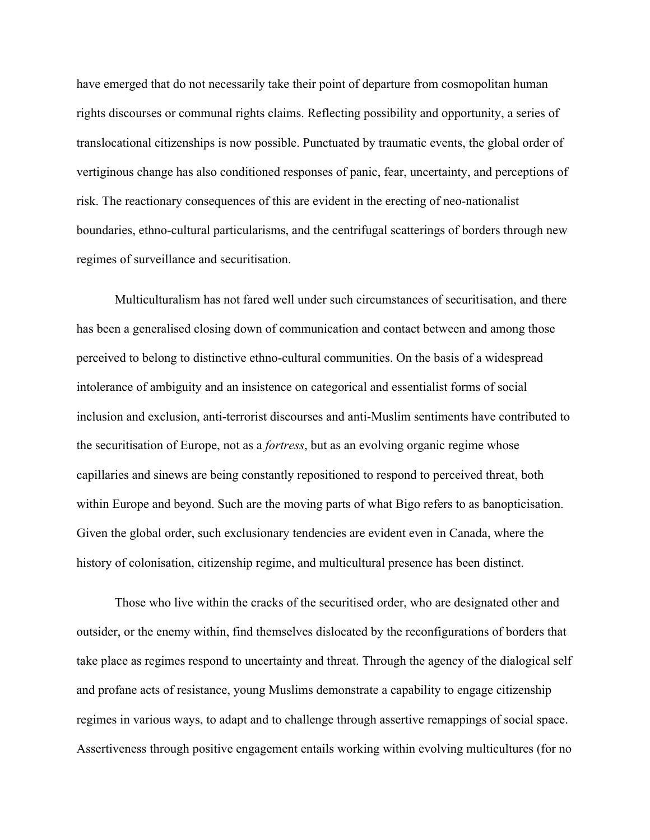have emerged that do not necessarily take their point of departure from cosmopolitan human rights discourses or communal rights claims. Reflecting possibility and opportunity, a series of translocational citizenships is now possible. Punctuated by traumatic events, the global order of vertiginous change has also conditioned responses of panic, fear, uncertainty, and perceptions of risk. The reactionary consequences of this are evident in the erecting of neo-nationalist boundaries, ethno-cultural particularisms, and the centrifugal scatterings of borders through new regimes of surveillance and securitisation.

Multiculturalism has not fared well under such circumstances of securitisation, and there has been a generalised closing down of communication and contact between and among those perceived to belong to distinctive ethno-cultural communities. On the basis of a widespread intolerance of ambiguity and an insistence on categorical and essentialist forms of social inclusion and exclusion, anti-terrorist discourses and anti-Muslim sentiments have contributed to the securitisation of Europe, not as a *fortress*, but as an evolving organic regime whose capillaries and sinews are being constantly repositioned to respond to perceived threat, both within Europe and beyond. Such are the moving parts of what Bigo refers to as banopticisation. Given the global order, such exclusionary tendencies are evident even in Canada, where the history of colonisation, citizenship regime, and multicultural presence has been distinct.

Those who live within the cracks of the securitised order, who are designated other and outsider, or the enemy within, find themselves dislocated by the reconfigurations of borders that take place as regimes respond to uncertainty and threat. Through the agency of the dialogical self and profane acts of resistance, young Muslims demonstrate a capability to engage citizenship regimes in various ways, to adapt and to challenge through assertive remappings of social space. Assertiveness through positive engagement entails working within evolving multicultures (for no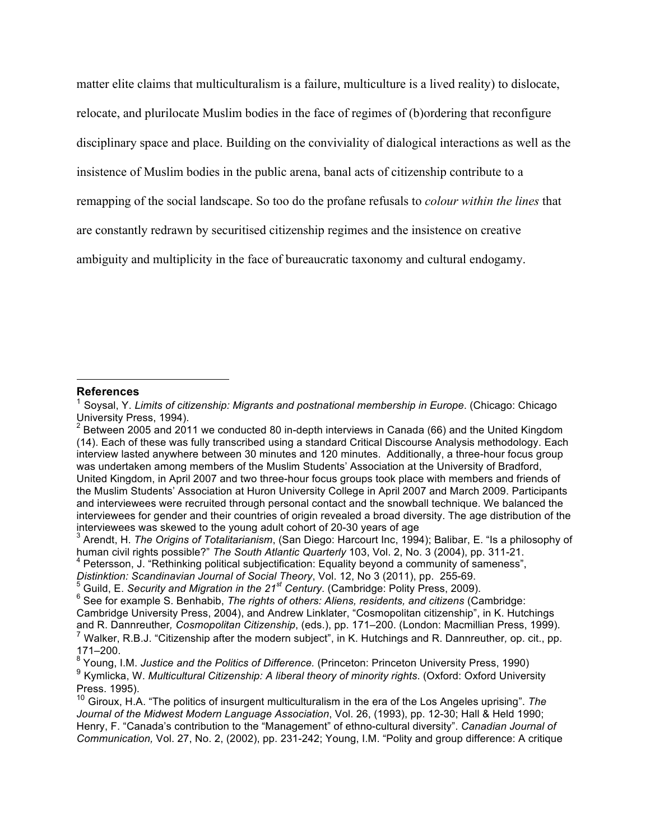matter elite claims that multiculturalism is a failure, multiculture is a lived reality) to dislocate, relocate, and plurilocate Muslim bodies in the face of regimes of (b)ordering that reconfigure disciplinary space and place. Building on the conviviality of dialogical interactions as well as the insistence of Muslim bodies in the public arena, banal acts of citizenship contribute to a remapping of the social landscape. So too do the profane refusals to *colour within the lines* that are constantly redrawn by securitised citizenship regimes and the insistence on creative ambiguity and multiplicity in the face of bureaucratic taxonomy and cultural endogamy.

#### **References**

<sup>3</sup> Arendt, H. *The Origins of Totalitarianism*, (San Diego: Harcourt Inc, 1994); Balibar, E. "Is a philosophy of human civil rights possible?" *The South Atlantic Quarterly* 103, Vol. 2, No. 3 (2004), pp. 311-21.<br><sup>4</sup> Petersson, J. "Rethinking political subjectification: Equality beyond a community of sameness",

<sup>1</sup> Soysal, Y. *Limits of citizenship: Migrants and postnational membership in Europe*. (Chicago: Chicago

University Press, 1994).<br><sup>2</sup> Between 2005 and 2011 we conducted 80 in-depth interviews in Canada (66) and the United Kingdom (14). Each of these was fully transcribed using a standard Critical Discourse Analysis methodology. Each interview lasted anywhere between 30 minutes and 120 minutes. Additionally, a three-hour focus group was undertaken among members of the Muslim Students' Association at the University of Bradford, United Kingdom, in April 2007 and two three-hour focus groups took place with members and friends of the Muslim Students' Association at Huron University College in April 2007 and March 2009. Participants and interviewees were recruited through personal contact and the snowball technique. We balanced the interviewees for gender and their countries of origin revealed a broad diversity. The age distribution of the interviewees was skewed to the young adult cohort of 20-30 years of age <sup>3</sup>

*Distinktion: Scandinavian Journal of Social Theory, Vol. 12, No 3 (2011), pp. 255-69.*<br><sup>5</sup> Guild, E. Security and Migration in the 21<sup>st</sup> Century. (Cambridge: Polity Press, 2009).

<sup>&</sup>lt;sup>6</sup> See for example S. Benhabib, The rights of others: Aliens, residents, and citizens (Cambridge: Cambridge University Press, 2004), and Andrew Linklater, "Cosmopolitan citizenship", in K. Hutchings and R. Dannreuther*, Cosmopolitan Citizenship*, (eds.), pp. 171–200. (London: Macmillian Press, 1999). <sup>7</sup> Walker, R.B.J. "Citizenship after the modern subject", in K. Hutchings and R. Dannreuther, op. cit., pp. 171–200.<br><sup>8</sup> Young, I.M. *Justice and the Politics of Difference.* (Princeton: Princeton University Press, 1990)

<sup>9</sup> Kymlicka, W. *Multicultural Citizenship: A liberal theory of minority rights*. (Oxford: Oxford University

Press. 1995).<br><sup>10</sup> Giroux, H.A. "The politics of insurgent multiculturalism in the era of the Los Angeles uprising". *The Journal of the Midwest Modern Language Association*, Vol. 26, (1993), pp. 12-30; Hall & Held 1990; Henry, F. "Canada's contribution to the "Management" of ethno-cultural diversity". *Canadian Journal of Communication,* Vol. 27, No. 2, (2002), pp. 231-242; Young, I.M. "Polity and group difference: A critique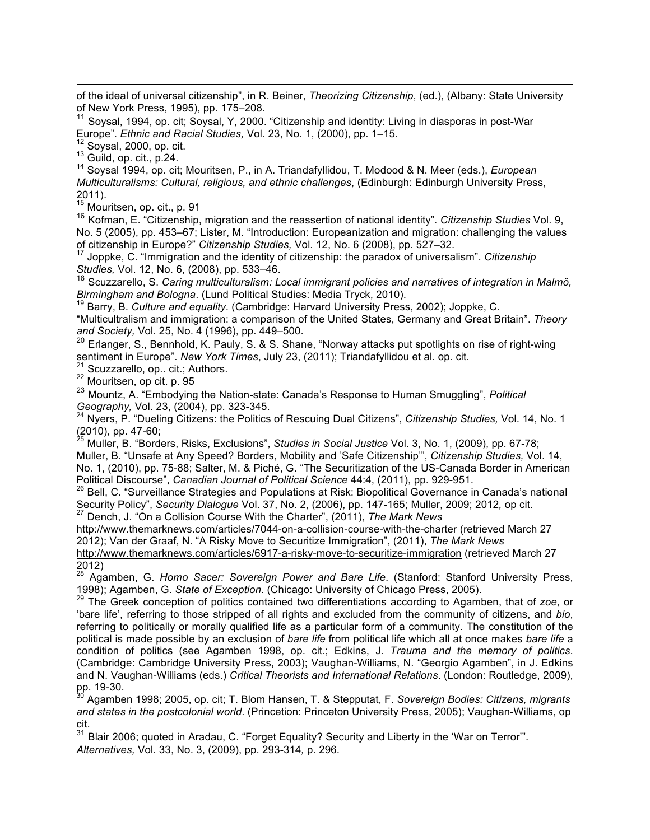of the ideal of universal citizenship", in R. Beiner, *Theorizing Citizenship*, (ed.), (Albany: State University of New York Press, 1995), pp. 175–208.

<sup>11</sup> Soysal, 1994, op. cit; Soysal, Y, 2000. "Citizenship and identity: Living in diasporas in post-War Europe". *Ethnic and Racial Studies,* Vol. 23, No. 1, (2000), pp. 1–15.

<sup>12</sup> Soysal, 2000, op. cit. <sup>13</sup> Guild, op. cit., p.24. <sup>14</sup> Soysal 1994, op. cit; Mouritsen, P., in A. Triandafyllidou, T. Modood & N. Meer (eds.), *European Multiculturalisms: Cultural, religious, and ethnic challenges*, (Edinburgh: Edinburgh University Press, 2011).

 $15$  Mouritsen, op. cit., p. 91

<sup>16</sup> Kofman, E. "Citizenship, migration and the reassertion of national identity". *Citizenship Studies* Vol. 9, No. 5 (2005), pp. 453–67; Lister, M. "Introduction: Europeanization and migration: challenging the values of citizenship in Europe?" *Citizenship Studies,* Vol. 12, No. 6 (2008), pp. 527–32.

17 Joppke, C. "Immigration and the identity of citizenship: the paradox of universalism". *Citizenship Studies,* Vol. 12, No. 6, (2008), pp. 533–46.

<sup>18</sup> Scuzzarello, S. *Caring multiculturalism: Local immigrant policies and narratives of integration in Malmö,<br>Birmingham and Bologna. (Lund Political Studies: Media Tryck, 2010).* 

<sup>19</sup> Barry, B. *Culture and equality*. (Cambridge: Harvard University Press, 2002); Joppke, C. "Multicultralism and immigration: a comparison of the United States, Germany and Great Britain". *Theory and Society,* Vol. 25, No. 4 (1996), pp. 449–500.

<sup>20</sup> Erlanger, S., Bennhold, K. Pauly, S. & S. Shane, "Norway attacks put spotlights on rise of right-wing sentiment in Europe". *New York Times*, July 23, (2011); Triandafyllidou et al. op. cit.

 $21$  Scuzzarello, op.. cit.; Authors.

<sup>22</sup> Mouritsen, op cit. p. 95

<sup>23</sup> Mountz, A. "Embodying the Nation-state: Canada's Response to Human Smuggling", *Political Geography,* Vol. 23, (2004), pp. 323-345.

<sup>24</sup> Nyers, P. "Dueling Citizens: the Politics of Rescuing Dual Citizens", *Citizenship Studies,* Vol. 14, No. 1  $(2010)$ , pp. 47-60;

<sup>25</sup> Muller, B. "Borders, Risks, Exclusions", *Studies in Social Justice* Vol. 3, No. 1, (2009), pp. 67-78; Muller, B. "Unsafe at Any Speed? Borders, Mobility and 'Safe Citizenship'", *Citizenship Studies,* Vol. 14, No. 1, (2010), pp. 75-88; Salter, M. & Piché, G. "The Securitization of the US-Canada Border in American Political Discourse", *Canadian Journal of Political Science* 44:4, (2011), pp. 929-951.

<sup>26</sup> Bell, C. "Surveillance Strategies and Populations at Risk: Biopolitical Governance in Canada's national Security Policy", *Security Dialogue* Vol. 37, No. 2, (2006), pp. 147-165; Muller, 2009; <sup>2012</sup>*,* op cit. <sup>27</sup> Dench, J. "On a Collision Course With the Charter", (2011), *The Mark News* 

http://www.themarknews.com/articles/7044-on-a-collision-course-with-the-charter (retrieved March 27 2012); Van der Graaf, N. "A Risky Move to Securitize Immigration", (2011), *The Mark News* http://www.themarknews.com/articles/6917-a-risky-move-to-securitize-immigration (retrieved March 27 2012)

<sup>28</sup> Agamben, G. *Homo Sacer: Sovereign Power and Bare Life*. (Stanford: Stanford University Press, 1998); Agamben, G. State of Exception. (Chicago: University of Chicago Press, 2005).

<sup>29</sup> The Greek conception of politics contained two differentiations according to Agamben, that of zoe, or 'bare life', referring to those stripped of all rights and excluded from the community of citizens, and *bio*, referring to politically or morally qualified life as a particular form of a community. The constitution of the political is made possible by an exclusion of *bare life* from political life which all at once makes *bare life* a condition of politics (see Agamben 1998, op. cit*.*; Edkins, J. *Trauma and the memory of politics*. (Cambridge: Cambridge University Press, 2003); Vaughan-Williams, N. "Georgio Agamben", in J. Edkins and N. Vaughan-Williams (eds.) *Critical Theorists and International Relations*. (London: Routledge, 2009), pp. 19-30.

<sup>30</sup> Agamben 1998; 2005, op. cit; T. Blom Hansen, T. & Stepputat, F. *Sovereign Bodies: Citizens, migrants and states in the postcolonial world*. (Princetion: Princeton University Press, 2005); Vaughan-Williams, op cit.

<sup>31</sup> Blair 2006; quoted in Aradau, C. "Forget Equality? Security and Liberty in the 'War on Terror'". *Alternatives,* Vol. 33, No. 3, (2009), pp. 293-314*,* p. 296.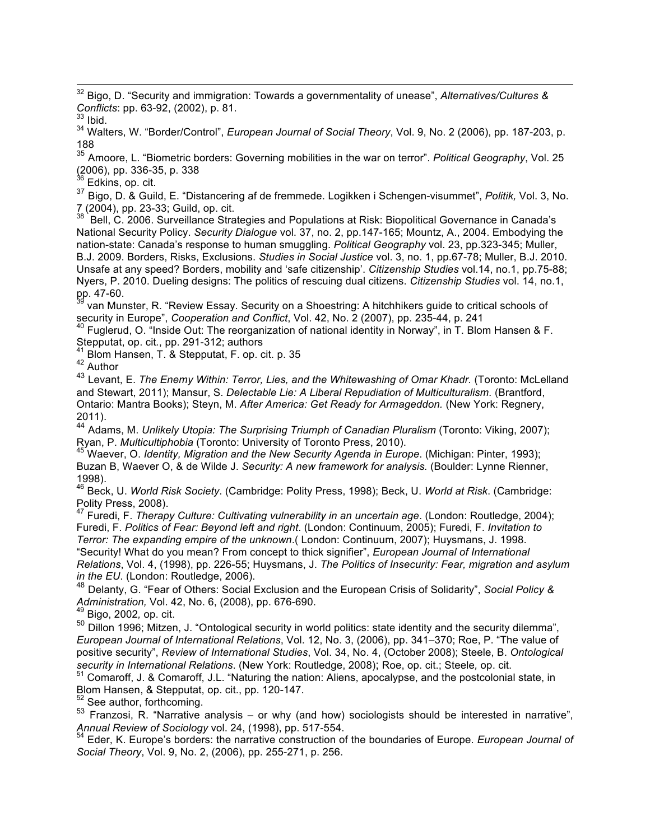32 Bigo, D. "Security and immigration: Towards a governmentality of unease", *Alternatives/Cultures & Conflicts*: pp. 63-92, (2002), p. 81. <sup>33</sup> Ibid.

<sup>34</sup> Walters, W. "Border/Control", *European Journal of Social Theory*, Vol. 9, No. 2 (2006), pp. 187-203, p. 188

<sup>35</sup> Amoore, L. "Biometric borders: Governing mobilities in the war on terror". *Political Geography*, Vol. 25 (2006), pp. 336-35, p. 338

 $\frac{36}{37}$  Edkins, op. cit.<br> $\frac{37}{37}$  Bigo. D. & Guile

<sup>37</sup> Bigo, D. & Guild, E. "Distancering af de fremmede. Logikken i Schengen-visummet", *Politik,* Vol. 3, No.<br>7 (2004), pp. 23-33; Guild, op. cit.<br><sup>38</sup> Boll, C. 3006, Sun sillance Of United to the team of the team of the t

Bell, C. 2006. Surveillance Strategies and Populations at Risk: Biopolitical Governance in Canada's National Security Policy. *Security Dialogue* vol. 37, no. 2, pp.147-165; Mountz, A., 2004. Embodying the nation-state: Canada's response to human smuggling. *Political Geography* vol. 23, pp.323-345; Muller, B.J. 2009. Borders, Risks, Exclusions. *Studies in Social Justice* vol. 3, no. 1, pp.67-78; Muller, B.J. 2010. Unsafe at any speed? Borders, mobility and 'safe citizenship'. *Citizenship Studies* vol.14, no.1, pp.75-88; Nyers, P. 2010. Dueling designs: The politics of rescuing dual citizens. *Citizenship Studies* vol. 14, no.1, pp. 47-60.

van Munster, R. "Review Essay. Security on a Shoestring: A hitchhikers guide to critical schools of security in Europe", *Cooperation and Conflict*, Vol. 42, No. 2 (2007), pp. 235-44, p. 241<br><sup>40</sup> Fuglerud, O. "Inside Out: The reorganization of national identity in Norway", in T. Blom Hansen & F.

Stepputat, op. cit*.*, pp. 291-312; authors

<sup>41</sup> Blom Hansen, T. & Stepputat, F. op. cit. p. 35<br><sup>42</sup> Author

<sup>43</sup> Levant, E. *The Enemy Within: Terror, Lies, and the Whitewashing of Omar Khadr.* (Toronto: McLelland and Stewart, 2011); Mansur, S. *Delectable Lie: A Liberal Repudiation of Multiculturalism.* (Brantford, Ontario: Mantra Books); Steyn, M. *After America: Get Ready for Armageddon.* (New York: Regnery,

2011).<br><sup>44</sup> Adams, M. *Unlikely Utopia: The Surprising Triumph of Canadian Pluralism* (Toronto: Viking, 2007);<br>Ryan, P. *Multicultiphobia* (Toronto: University of Toronto Press, 2010).

As Waever, O. *Identity, Migration and the New Security Agenda in Europe*. (Michigan: Pinter, 1993); Buzan B, Waever O, & de Wilde J. *Security: A new framework for analysis.* (Boulder: Lynne Rienner,

1998).<br><sup>46</sup> Beck, U*. World Risk Society*. (Cambridge: Polity Press, 1998); Beck, U. *World at Risk*. (Cambridge:<br>Polity Press, 2008).

<sup>47</sup> Furedi, F. *Therapy Culture: Cultivating vulnerability in an uncertain age.* (London: Routledge, 2004); Furedi, F. *Politics of Fear: Beyond left and right*. (London: Continuum, 2005); Furedi, F. *Invitation to Terror: The expanding empire of the unknown*.( London: Continuum, 2007); Huysmans, J. 1998. "Security! What do you mean? From concept to thick signifier", *European Journal of International Relations*, Vol. 4, (1998), pp. 226-55; Huysmans, J. *The Politics of Insecurity: Fear, migration and asylum* 

*in the EU*. (London: Routledge, 2006).<br><sup>48</sup> Delanty, G. "Fear of Others: Social Exclusion and the European Crisis of Solidarity", Social Policy & *Administration,* Vol. 42, No. 6, (2008), pp. 676-690.

49 Bigo, 2002*,* op. cit.

<sup>50</sup> Dillon 1996; Mitzen, J. "Ontological security in world politics: state identity and the security dilemma", *European Journal of International Relations*, Vol. 12, No. 3, (2006), pp. 341–370; Roe, P. "The value of positive security", *Review of International Studies*, Vol. 34, No. 4, (October 2008); Steele, B. *Ontological security in International Relations*. (New York: Routledge, 2008); Roe, op. cit.; Steele*,* op. cit.

<sup>51</sup> Comaroff, J. & Comaroff, J.L. "Naturing the nation: Aliens, apocalypse, and the postcolonial state, in Blom Hansen, & Stepputat, op. cit., pp. 120-147.

See author, forthcoming.

<sup>53</sup> Franzosi, R. "Narrative analysis – or why (and how) sociologists should be interested in narrative", *Annual Review of Sociology* vol. 24, (1998), pp. 517-554.

54 Eder, K. Europe's borders: the narrative construction of the boundaries of Europe. *European Journal of Social Theory*, Vol. 9, No. 2, (2006), pp. 255-271, p. 256.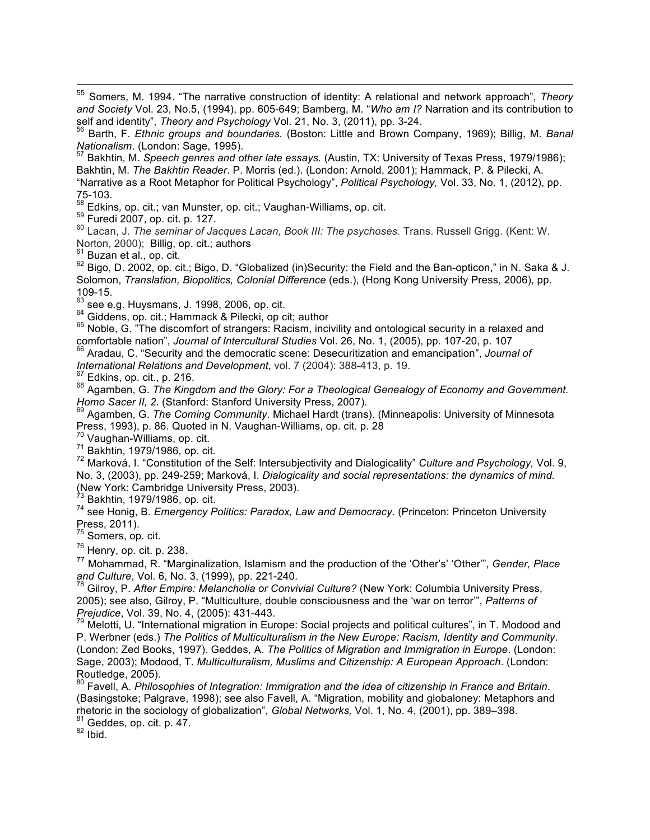55 Somers, M. 1994. "The narrative construction of identity: A relational and network approach", *Theory and Society* Vol. 23, No.5, (1994), pp. 605-649; Bamberg, M. "*Who am I?* Narration and its contribution to self and identity", *Theory and Psychology* Vol. 21, No. 3, (2011), pp. 3-24.

56 Barth, F. *Ethnic groups and boundaries.* (Boston: Little and Brown Company, 1969); Billig, M. *Banal* 

<sup>57</sup> Bakhtin, M. *Speech genres and other late essays.* (Austin, TX: University of Texas Press, 1979/1986); Bakhtin, M. *The Bakhtin Reader*. P. Morris (ed.). (London: Arnold, 2001); Hammack, P. & Pilecki, A. "Narrative as a Root Metaphor for Political Psychology", *Political Psychology,* Vol. 33, No. 1, (2012), pp. 75-103.

<sup>58</sup> Edkins*,* op. cit.; van Munster, op. cit.; Vaughan-Williams, op. cit. <sup>59</sup> Furedi 2007, op. cit. p*.* 127.

<sup>60</sup> Lacan, J. *The seminar of Jacques Lacan, Book III: The psychoses.* Trans. Russell Grigg. (Kent: W. Norton, 2000); Billig, op. cit.; authors

 $^{61}$  Buzan et al., op. cit.<br> $^{62}$  Bigo, D. 2002, op. cit.; Bigo, D. "Globalized (in)Security: the Field and the Ban-opticon," in N. Saka & J. Solomon, *Translation, Biopolitics, Colonial Difference* (eds.), (Hong Kong University Press, 2006), pp. 109-15.<br><sup>63</sup> see e.g. Huysmans, J. 1998, 2006, op. cit.

 $64$  Giddens, op. cit.; Hammack & Pilecki, op cit; author<br> $65$  Noble, G. "The discomfort of strangers: Racism, incivility and ontological security in a relaxed and comfortable nation", *Journal of Intercultural Studies* Vol. 26, No. 1, (2005), pp. 107-20, p. 107

<sup>66</sup> Aradau, C. "Security and the democratic scene: Desecuritization and emancipation", *Journal of* 

*International Relations and Development*, vol. 7 (2004): 388-413, p. 19.<br><sup>67</sup> Edkins, op. cit., p. 216.<br><sup>68</sup> Agamben, G. *The Kingdom and the Glory: For a Theological Genealogy of Economy and Government.*<br>*Homo Sacer II,* 

<sup>69</sup> Agamben, G. *The Coming Community*. Michael Hardt (trans). (Minneapolis: University of Minnesota Press, 1993), p. 86. Quoted in N. Vaughan-Williams, op. cit. p. 28<br><sup>70</sup> Vaughan-Williams, op. cit.<br><sup>71</sup> Bakhtin, 1979/1986, op. cit.<br><sup>72</sup> Marková, I. "Constitution of the Self: Intersubjectivity and Dialogicality" Culture

No. 3, (2003), pp. 249-259; Marková, I. *Dialogicality and social representations: the dynamics of mind.* (New York: Cambridge University Press, 2003).<br><sup>73</sup> Bakhtin, 1979/1986, op. cit.

<sup>74</sup> see Honig, B. *Emergency Politics: Paradox, Law and Democracy*. (Princeton: Princeton University Press, 2011).

<sup>75</sup> Somers, op. cit.

<sup>76</sup> Henry, op. cit. p. 238.<br><sup>77</sup> Mohammad, R. "Marginalization, Islamism and the production of the 'Other's' 'Other'", *Gender, Place and Culture*, Vol. 6, No. 3, (1999), pp. 221-240.

78 Gilroy, P. *After Empire: Melancholia or Convivial Culture?* (New York: Columbia University Press, 2005); see also, Gilroy, P. "Multiculture, double consciousness and the 'war on terror'", *Patterns of Prejudice*, Vol. 39, No. 4, (2005): 431-443.

79 Melotti, U. "International migration in Europe: Social projects and political cultures", in T. Modood and P. Werbner (eds.) *The Politics of Multiculturalism in the New Europe: Racism, Identity and Community*. (London: Zed Books, 1997). Geddes, A. *The Politics of Migration and Immigration in Europe*. (London: Sage, 2003); Modood, T. *Multiculturalism, Muslims and Citizenship: A European Approach*. (London: Routledge, 2005).<br><sup>80</sup> Favell, A. *Philosophies of Integration: Immigration and the idea of citizenship in France and Britain.* 

(Basingstoke; Palgrave, 1998); see also Favell, A. "Migration, mobility and globaloney: Metaphors and rhetoric in the sociology of globalization", *Global Networks,* Vol. 1, No. 4, (2001), pp. 389–398.

 $81^8$  Geddes, op. cit. p. 47.<br> $82$  Ibid.